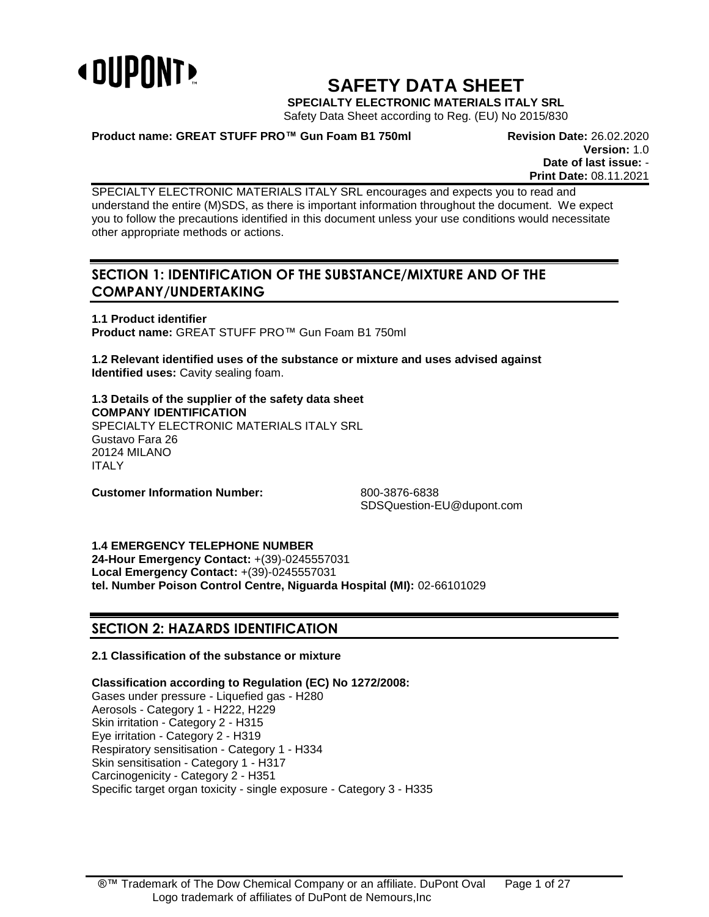

# **SAFETY DATA SHEET**

**SPECIALTY ELECTRONIC MATERIALS ITALY SRL**

Safety Data Sheet according to Reg. (EU) No 2015/830

**Product name: GREAT STUFF PRO™ Gun Foam B1 750ml Revision Date:** 26.02.2020

**Version:** 1.0 **Date of last issue:** - **Print Date:** 08.11.2021

SPECIALTY ELECTRONIC MATERIALS ITALY SRL encourages and expects you to read and understand the entire (M)SDS, as there is important information throughout the document. We expect you to follow the precautions identified in this document unless your use conditions would necessitate other appropriate methods or actions.

# **SECTION 1: IDENTIFICATION OF THE SUBSTANCE/MIXTURE AND OF THE COMPANY/UNDERTAKING**

**1.1 Product identifier Product name:** GREAT STUFF PRO™ Gun Foam B1 750ml

**1.2 Relevant identified uses of the substance or mixture and uses advised against Identified uses:** Cavity sealing foam.

**1.3 Details of the supplier of the safety data sheet COMPANY IDENTIFICATION** SPECIALTY ELECTRONIC MATERIALS ITALY SRL Gustavo Fara 26 20124 MILANO ITALY

**Customer Information Number:** 800-3876-6838

SDSQuestion-EU@dupont.com

**1.4 EMERGENCY TELEPHONE NUMBER**

**24-Hour Emergency Contact:** +(39)-0245557031 **Local Emergency Contact:** +(39)-0245557031 **tel. Number Poison Control Centre, Niguarda Hospital (MI):** 02-66101029

# **SECTION 2: HAZARDS IDENTIFICATION**

# **2.1 Classification of the substance or mixture**

**Classification according to Regulation (EC) No 1272/2008:**

Gases under pressure - Liquefied gas - H280 Aerosols - Category 1 - H222, H229 Skin irritation - Category 2 - H315 Eye irritation - Category 2 - H319 Respiratory sensitisation - Category 1 - H334 Skin sensitisation - Category 1 - H317 Carcinogenicity - Category 2 - H351 Specific target organ toxicity - single exposure - Category 3 - H335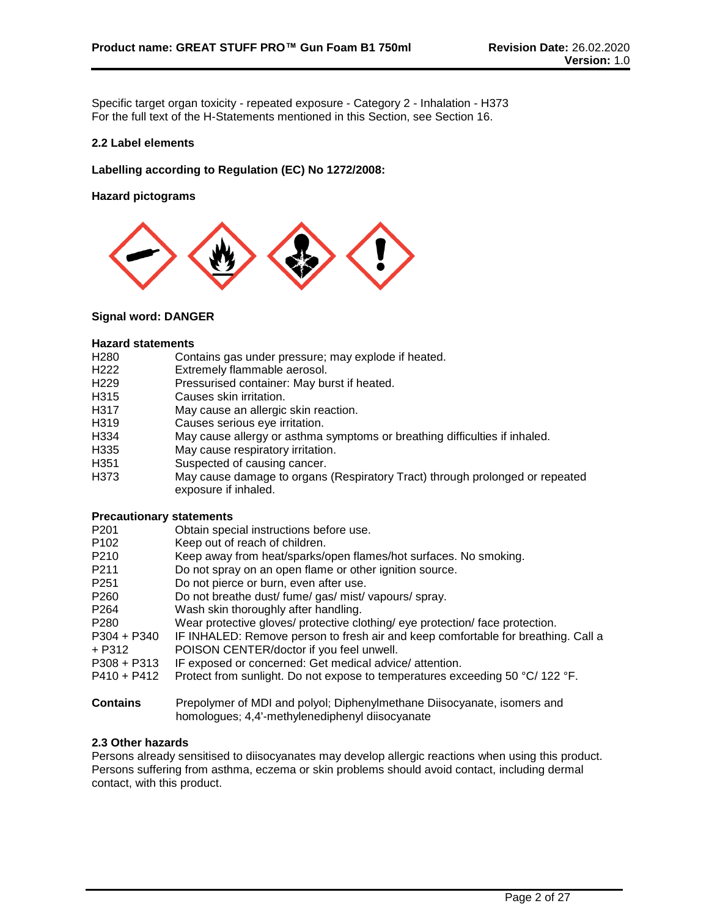Specific target organ toxicity - repeated exposure - Category 2 - Inhalation - H373 For the full text of the H-Statements mentioned in this Section, see Section 16.

# **2.2 Label elements**

**Labelling according to Regulation (EC) No 1272/2008:**

**Hazard pictograms**



# **Signal word: DANGER**

#### **Hazard statements**

- H280 Contains gas under pressure; may explode if heated.
- H222 Extremely flammable aerosol.
- H229 Pressurised container: May burst if heated.
- H315 Causes skin irritation.
- H317 May cause an allergic skin reaction.
- H319 Causes serious eye irritation.
- H334 May cause allergy or asthma symptoms or breathing difficulties if inhaled.
- H335 May cause respiratory irritation.
- H351 Suspected of causing cancer.
- H373 May cause damage to organs (Respiratory Tract) through prolonged or repeated exposure if inhaled.

#### **Precautionary statements**

- P201 Chain special instructions before use.<br>P102 Keep out of reach of children.
- Keep out of reach of children.
- P210 Keep away from heat/sparks/open flames/hot surfaces. No smoking.
- P211 Do not spray on an open flame or other ignition source.
- P251 Do not pierce or burn, even after use.
- P260 Do not breathe dust/ fume/ gas/ mist/ vapours/ spray.
- P264 Wash skin thoroughly after handling.
- P280 Wear protective gloves/ protective clothing/ eye protection/ face protection.
- P304 + P340 + P312 IF INHALED: Remove person to fresh air and keep comfortable for breathing. Call a POISON CENTER/doctor if you feel unwell.
- P308 + P313 IF exposed or concerned: Get medical advice/ attention.
- P410 + P412 Protect from sunlight. Do not expose to temperatures exceeding 50 °C/ 122 °F.
- **Contains** Prepolymer of MDI and polyol; Diphenylmethane Diisocyanate, isomers and homologues; 4,4'-methylenediphenyl diisocyanate

# **2.3 Other hazards**

Persons already sensitised to diisocyanates may develop allergic reactions when using this product. Persons suffering from asthma, eczema or skin problems should avoid contact, including dermal contact, with this product.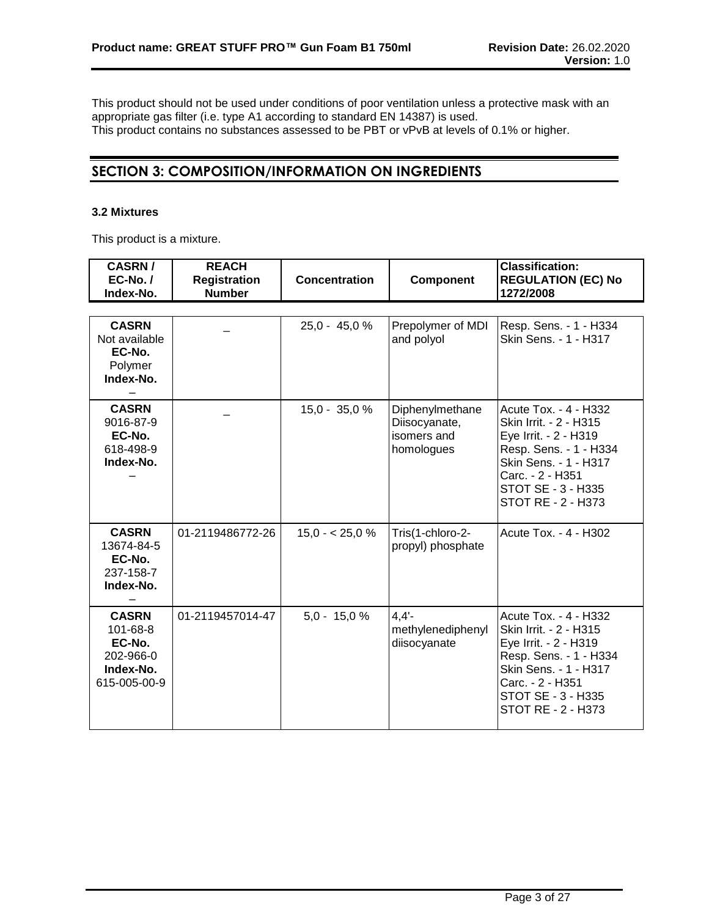This product should not be used under conditions of poor ventilation unless a protective mask with an appropriate gas filter (i.e. type A1 according to standard EN 14387) is used. This product contains no substances assessed to be PBT or vPvB at levels of 0.1% or higher.

# **SECTION 3: COMPOSITION/INFORMATION ON INGREDIENTS**

# **3.2 Mixtures**

This product is a mixture.

| <b>CASRN/</b><br>$EC-No. /$<br>Index-No.                                     | <b>REACH</b><br><b>Registration</b><br><b>Number</b> | Concentration   | Component                                                     | <b>Classification:</b><br><b>REGULATION (EC) No</b><br>1272/2008                                                                                                                            |
|------------------------------------------------------------------------------|------------------------------------------------------|-----------------|---------------------------------------------------------------|---------------------------------------------------------------------------------------------------------------------------------------------------------------------------------------------|
|                                                                              |                                                      |                 |                                                               |                                                                                                                                                                                             |
| <b>CASRN</b><br>Not available<br>EC-No.<br>Polymer<br>Index-No.              |                                                      | $25,0 - 45,0 %$ | Prepolymer of MDI<br>and polyol                               | Resp. Sens. - 1 - H334<br>Skin Sens. - 1 - H317                                                                                                                                             |
| <b>CASRN</b><br>9016-87-9<br>EC-No.<br>618-498-9<br>Index-No.                |                                                      | $15,0 - 35,0 %$ | Diphenylmethane<br>Diisocyanate,<br>isomers and<br>homologues | Acute Tox. - 4 - H332<br>Skin Irrit. - 2 - H315<br>Eye Irrit. - 2 - H319<br>Resp. Sens. - 1 - H334<br>Skin Sens. - 1 - H317<br>Carc. - 2 - H351<br>STOT SE - 3 - H335<br>STOT RE - 2 - H373 |
| <b>CASRN</b><br>13674-84-5<br>EC-No.<br>237-158-7<br>Index-No.               | 01-2119486772-26                                     | $15.0 - 25.0 %$ | Tris(1-chloro-2-<br>propyl) phosphate                         | Acute Tox. - 4 - H302                                                                                                                                                                       |
| <b>CASRN</b><br>101-68-8<br>EC-No.<br>202-966-0<br>Index-No.<br>615-005-00-9 | 01-2119457014-47                                     | $5,0 - 15,0 %$  | 4.4'<br>methylenediphenyl<br>diisocyanate                     | Acute Tox. - 4 - H332<br>Skin Irrit. - 2 - H315<br>Eye Irrit. - 2 - H319<br>Resp. Sens. - 1 - H334<br>Skin Sens. - 1 - H317<br>Carc. - 2 - H351<br>STOT SE - 3 - H335<br>STOT RE - 2 - H373 |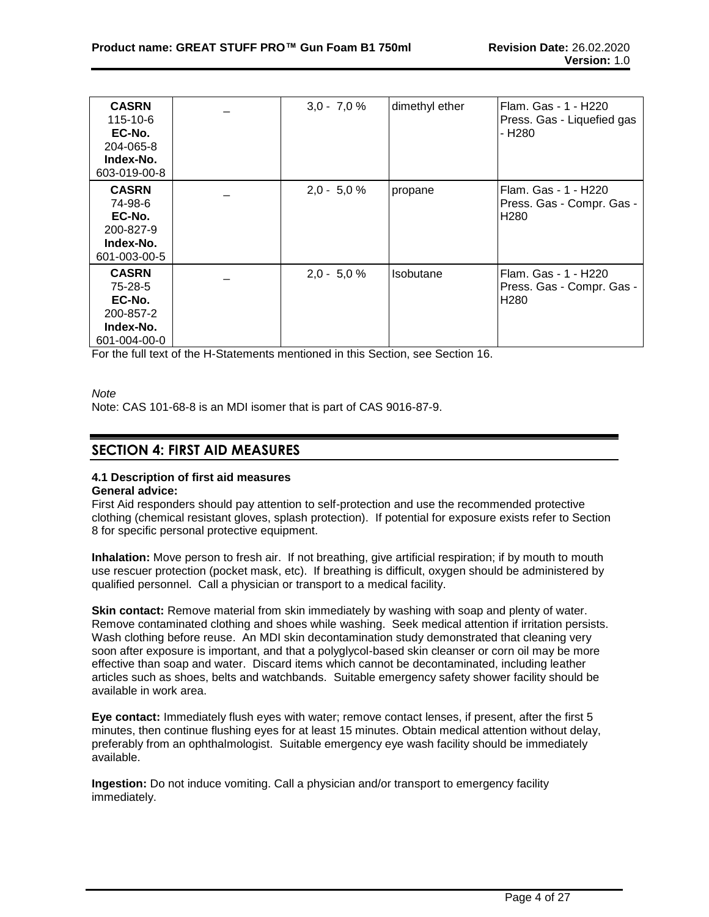| <b>CASRN</b><br>115-10-6<br>EC-No.<br>204-065-8<br>Index-No.<br>603-019-00-8 | $3,0 - 7,0 %$ | dimethyl ether | Flam. Gas - 1 - H220<br>Press. Gas - Liquefied gas<br>- H <sub>2</sub> 80 |
|------------------------------------------------------------------------------|---------------|----------------|---------------------------------------------------------------------------|
| <b>CASRN</b><br>74-98-6<br>EC-No.<br>200-827-9<br>Index-No.<br>601-003-00-5  | $2,0 - 5,0 %$ | propane        | Flam. Gas - 1 - H220<br>Press. Gas - Compr. Gas -<br>H <sub>280</sub>     |
| <b>CASRN</b><br>75-28-5<br>EC-No.<br>200-857-2<br>Index-No.<br>601-004-00-0  | $2,0 - 5,0 %$ | Isobutane      | Flam. Gas - 1 - H220<br>Press. Gas - Compr. Gas -<br>H <sub>280</sub>     |

For the full text of the H-Statements mentioned in this Section, see Section 16.

*Note*

Note: CAS 101-68-8 is an MDI isomer that is part of CAS 9016-87-9.

# **SECTION 4: FIRST AID MEASURES**

# **4.1 Description of first aid measures**

# **General advice:**

First Aid responders should pay attention to self-protection and use the recommended protective clothing (chemical resistant gloves, splash protection). If potential for exposure exists refer to Section 8 for specific personal protective equipment.

**Inhalation:** Move person to fresh air. If not breathing, give artificial respiration; if by mouth to mouth use rescuer protection (pocket mask, etc). If breathing is difficult, oxygen should be administered by qualified personnel. Call a physician or transport to a medical facility.

**Skin contact:** Remove material from skin immediately by washing with soap and plenty of water. Remove contaminated clothing and shoes while washing. Seek medical attention if irritation persists. Wash clothing before reuse. An MDI skin decontamination study demonstrated that cleaning very soon after exposure is important, and that a polyglycol-based skin cleanser or corn oil may be more effective than soap and water. Discard items which cannot be decontaminated, including leather articles such as shoes, belts and watchbands. Suitable emergency safety shower facility should be available in work area.

**Eye contact:** Immediately flush eyes with water; remove contact lenses, if present, after the first 5 minutes, then continue flushing eyes for at least 15 minutes. Obtain medical attention without delay, preferably from an ophthalmologist. Suitable emergency eye wash facility should be immediately available.

**Ingestion:** Do not induce vomiting. Call a physician and/or transport to emergency facility immediately.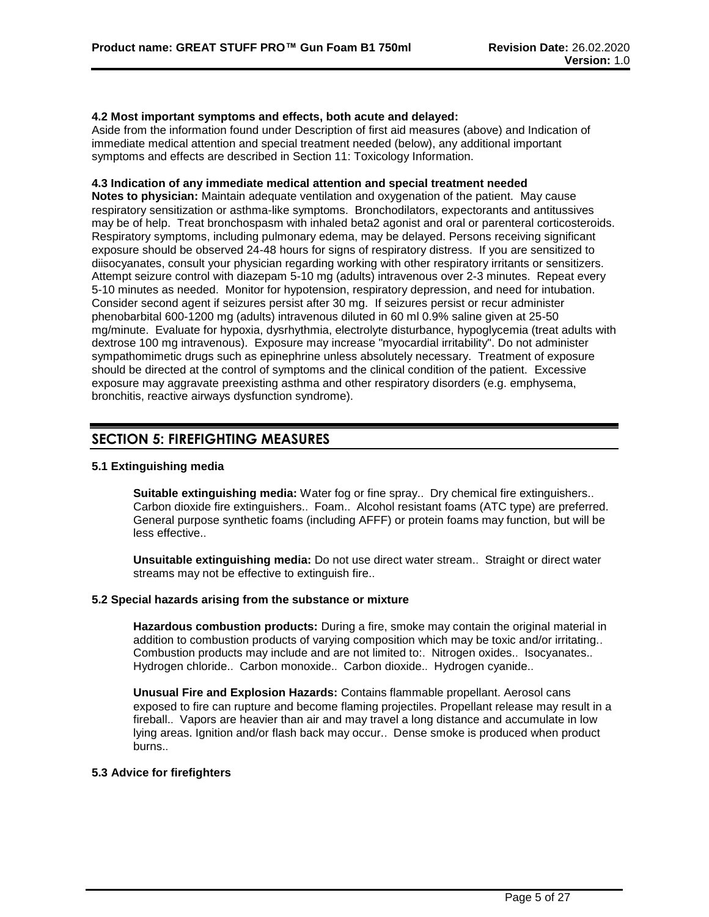# **4.2 Most important symptoms and effects, both acute and delayed:**

Aside from the information found under Description of first aid measures (above) and Indication of immediate medical attention and special treatment needed (below), any additional important symptoms and effects are described in Section 11: Toxicology Information.

# **4.3 Indication of any immediate medical attention and special treatment needed**

**Notes to physician:** Maintain adequate ventilation and oxygenation of the patient. May cause respiratory sensitization or asthma-like symptoms. Bronchodilators, expectorants and antitussives may be of help. Treat bronchospasm with inhaled beta2 agonist and oral or parenteral corticosteroids. Respiratory symptoms, including pulmonary edema, may be delayed. Persons receiving significant exposure should be observed 24-48 hours for signs of respiratory distress. If you are sensitized to diisocyanates, consult your physician regarding working with other respiratory irritants or sensitizers. Attempt seizure control with diazepam 5-10 mg (adults) intravenous over 2-3 minutes. Repeat every 5-10 minutes as needed. Monitor for hypotension, respiratory depression, and need for intubation. Consider second agent if seizures persist after 30 mg. If seizures persist or recur administer phenobarbital 600-1200 mg (adults) intravenous diluted in 60 ml 0.9% saline given at 25-50 mg/minute. Evaluate for hypoxia, dysrhythmia, electrolyte disturbance, hypoglycemia (treat adults with dextrose 100 mg intravenous). Exposure may increase "myocardial irritability". Do not administer sympathomimetic drugs such as epinephrine unless absolutely necessary. Treatment of exposure should be directed at the control of symptoms and the clinical condition of the patient. Excessive exposure may aggravate preexisting asthma and other respiratory disorders (e.g. emphysema, bronchitis, reactive airways dysfunction syndrome).

# **SECTION 5: FIREFIGHTING MEASURES**

# **5.1 Extinguishing media**

**Suitable extinguishing media:** Water fog or fine spray.. Dry chemical fire extinguishers.. Carbon dioxide fire extinguishers.. Foam.. Alcohol resistant foams (ATC type) are preferred. General purpose synthetic foams (including AFFF) or protein foams may function, but will be less effective..

**Unsuitable extinguishing media:** Do not use direct water stream.. Straight or direct water streams may not be effective to extinguish fire..

# **5.2 Special hazards arising from the substance or mixture**

**Hazardous combustion products:** During a fire, smoke may contain the original material in addition to combustion products of varying composition which may be toxic and/or irritating.. Combustion products may include and are not limited to:. Nitrogen oxides.. Isocyanates.. Hydrogen chloride.. Carbon monoxide.. Carbon dioxide.. Hydrogen cyanide..

**Unusual Fire and Explosion Hazards:** Contains flammable propellant. Aerosol cans exposed to fire can rupture and become flaming projectiles. Propellant release may result in a fireball.. Vapors are heavier than air and may travel a long distance and accumulate in low lying areas. Ignition and/or flash back may occur.. Dense smoke is produced when product burns..

# **5.3 Advice for firefighters**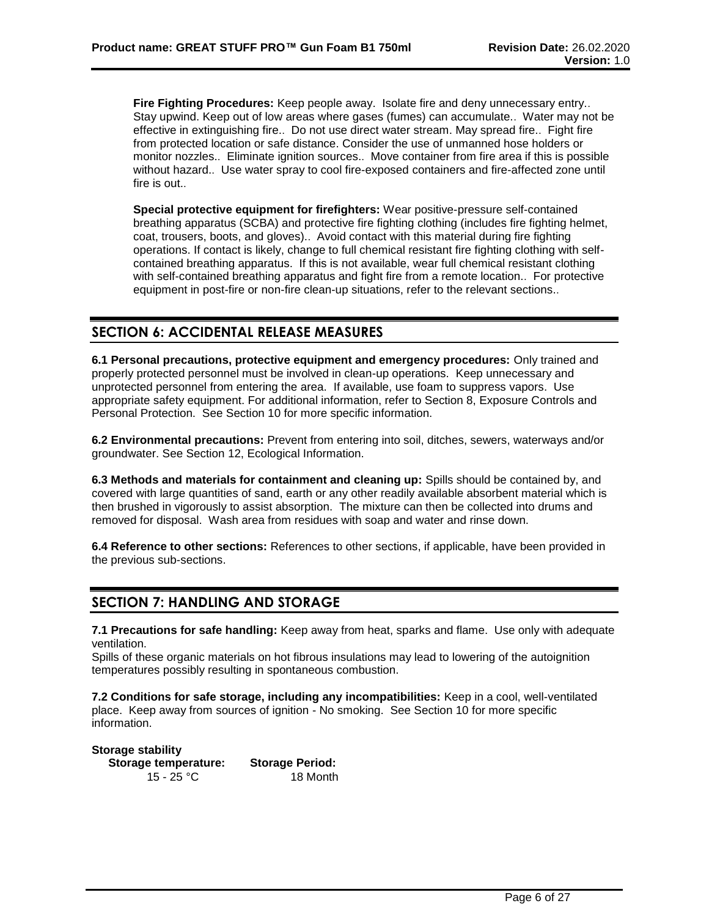**Fire Fighting Procedures:** Keep people away. Isolate fire and deny unnecessary entry.. Stay upwind. Keep out of low areas where gases (fumes) can accumulate.. Water may not be effective in extinguishing fire.. Do not use direct water stream. May spread fire.. Fight fire from protected location or safe distance. Consider the use of unmanned hose holders or monitor nozzles.. Eliminate ignition sources.. Move container from fire area if this is possible without hazard.. Use water spray to cool fire-exposed containers and fire-affected zone until fire is out..

**Special protective equipment for firefighters:** Wear positive-pressure self-contained breathing apparatus (SCBA) and protective fire fighting clothing (includes fire fighting helmet, coat, trousers, boots, and gloves).. Avoid contact with this material during fire fighting operations. If contact is likely, change to full chemical resistant fire fighting clothing with selfcontained breathing apparatus. If this is not available, wear full chemical resistant clothing with self-contained breathing apparatus and fight fire from a remote location.. For protective equipment in post-fire or non-fire clean-up situations, refer to the relevant sections..

# **SECTION 6: ACCIDENTAL RELEASE MEASURES**

**6.1 Personal precautions, protective equipment and emergency procedures:** Only trained and properly protected personnel must be involved in clean-up operations. Keep unnecessary and unprotected personnel from entering the area. If available, use foam to suppress vapors. Use appropriate safety equipment. For additional information, refer to Section 8, Exposure Controls and Personal Protection. See Section 10 for more specific information.

**6.2 Environmental precautions:** Prevent from entering into soil, ditches, sewers, waterways and/or groundwater. See Section 12, Ecological Information.

**6.3 Methods and materials for containment and cleaning up:** Spills should be contained by, and covered with large quantities of sand, earth or any other readily available absorbent material which is then brushed in vigorously to assist absorption. The mixture can then be collected into drums and removed for disposal. Wash area from residues with soap and water and rinse down.

**6.4 Reference to other sections:** References to other sections, if applicable, have been provided in the previous sub-sections.

# **SECTION 7: HANDLING AND STORAGE**

**7.1 Precautions for safe handling:** Keep away from heat, sparks and flame. Use only with adequate ventilation.

Spills of these organic materials on hot fibrous insulations may lead to lowering of the autoignition temperatures possibly resulting in spontaneous combustion.

**7.2 Conditions for safe storage, including any incompatibilities:** Keep in a cool, well-ventilated place. Keep away from sources of ignition - No smoking. See Section 10 for more specific information.

**Storage stability Storage temperature: Storage Period:** 15 - 25 °C 18 Month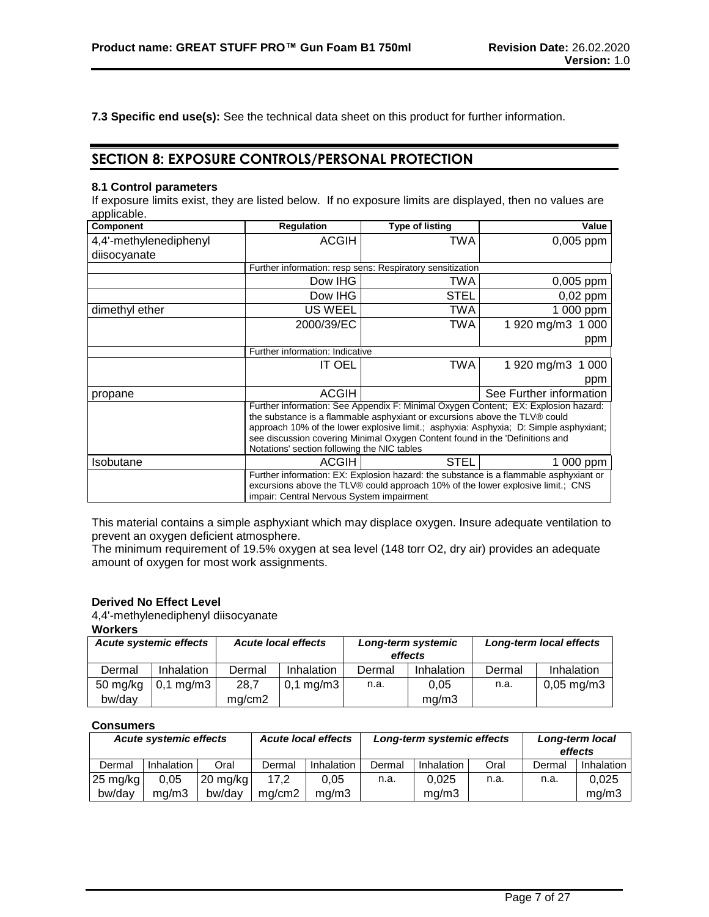**7.3 Specific end use(s):** See the technical data sheet on this product for further information.

# **SECTION 8: EXPOSURE CONTROLS/PERSONAL PROTECTION**

# **8.1 Control parameters**

If exposure limits exist, they are listed below. If no exposure limits are displayed, then no values are applicable.

| <b>Component</b>       | <b>Regulation</b>                           | <b>Type of listing</b>                                                          | Value                                                                                 |
|------------------------|---------------------------------------------|---------------------------------------------------------------------------------|---------------------------------------------------------------------------------------|
| 4,4'-methylenediphenyl | <b>ACGIH</b>                                | TWA                                                                             | 0,005 ppm                                                                             |
| diisocyanate           |                                             |                                                                                 |                                                                                       |
|                        |                                             | Further information: resp sens: Respiratory sensitization                       |                                                                                       |
|                        | Dow IHG                                     | TWA                                                                             | 0,005 ppm                                                                             |
|                        | Dow IHG                                     | STEL                                                                            | $0,02$ ppm                                                                            |
| dimethyl ether         | <b>US WEEL</b>                              | TWA                                                                             | 1 000 ppm                                                                             |
|                        | 2000/39/EC                                  | TWA                                                                             | 1 920 mg/m3<br>1 0 0 0                                                                |
|                        |                                             |                                                                                 | ppm                                                                                   |
|                        | Further information: Indicative             |                                                                                 |                                                                                       |
|                        | <b>IT OEL</b>                               | TWA                                                                             | 1 920 mg/m3<br>1 000                                                                  |
|                        |                                             |                                                                                 | ppm                                                                                   |
| propane                | <b>ACGIH</b>                                |                                                                                 | See Further information                                                               |
|                        |                                             |                                                                                 | Further information: See Appendix F: Minimal Oxygen Content; EX: Explosion hazard:    |
|                        |                                             | the substance is a flammable asphyxiant or excursions above the TLV® could      |                                                                                       |
|                        |                                             |                                                                                 | approach 10% of the lower explosive limit.; asphyxia: Asphyxia; D: Simple asphyxiant; |
|                        |                                             | see discussion covering Minimal Oxygen Content found in the 'Definitions and    |                                                                                       |
|                        | Notations' section following the NIC tables |                                                                                 |                                                                                       |
| Isobutane              | <b>ACGIH</b>                                | <b>STEL</b>                                                                     | 1 000 ppm                                                                             |
|                        |                                             |                                                                                 | Further information: EX: Explosion hazard: the substance is a flammable asphyxiant or |
|                        |                                             | excursions above the TLV® could approach 10% of the lower explosive limit.; CNS |                                                                                       |
|                        | impair: Central Nervous System impairment   |                                                                                 |                                                                                       |

This material contains a simple asphyxiant which may displace oxygen. Insure adequate ventilation to prevent an oxygen deficient atmosphere.

The minimum requirement of 19.5% oxygen at sea level (148 torr O2, dry air) provides an adequate amount of oxygen for most work assignments.

# **Derived No Effect Level**

4,4'-methylenediphenyl diisocyanate

## **Workers**

| <b>Acute systemic effects</b> |                | <b>Acute local effects</b> | Long-term local effects<br>Long-term systemic<br>effects |        |            |        |                          |
|-------------------------------|----------------|----------------------------|----------------------------------------------------------|--------|------------|--------|--------------------------|
| Dermal                        | Inhalation     | Dermal                     | Inhalation                                               | Dermal | Inhalation | Dermal | Inhalation               |
| 50 mg/kg                      | $0,1$ mg/m $3$ | 28.7                       | $0,1 \text{ mg/m}$ 3                                     | n.a.   | 0.05       | n.a.   | $0,05 \,\mathrm{mg/m}$ 3 |
| bw/day                        |                | mg/cm2                     |                                                          |        | mq/m3      |        |                          |

### **Consumers**

| <b>Acute systemic effects</b> |            |                    | <b>Acute local effects</b> | Long-term systemic effects |        | Long-term local<br>effects |      |        |            |
|-------------------------------|------------|--------------------|----------------------------|----------------------------|--------|----------------------------|------|--------|------------|
| Dermal                        | Inhalation | Oral               | Dermal                     | Inhalation                 | Dermal | Inhalation                 | Oral | Dermal | Inhalation |
| $25 \text{ mg/kg}$            | 0.05       | $20 \text{ mg/kg}$ | 17.2                       | 0.05                       | n.a.   | 0.025                      | n.a. | n.a.   | 0.025      |
| bw/day                        | ma/m3      | bw/dav             | ma/cm2                     | ma/m3                      |        | mg/m3                      |      |        | mg/m3      |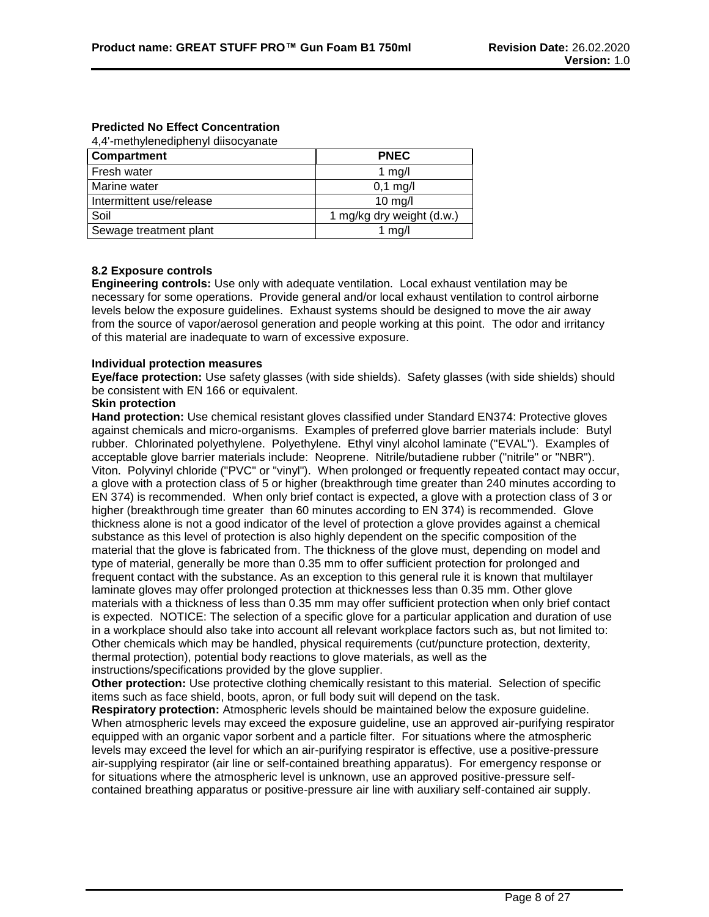# **Predicted No Effect Concentration**

4,4'-methylenediphenyl diisocyanate

| <b>Compartment</b>       | <b>PNEC</b>               |
|--------------------------|---------------------------|
| <b>Fresh water</b>       | 1 $mg/l$                  |
| Marine water             | $0,1$ mg/l                |
| Intermittent use/release | $10$ mg/l                 |
| Soil                     | 1 mg/kg dry weight (d.w.) |
| Sewage treatment plant   | 1 $mg/l$                  |

# **8.2 Exposure controls**

**Engineering controls:** Use only with adequate ventilation. Local exhaust ventilation may be necessary for some operations. Provide general and/or local exhaust ventilation to control airborne levels below the exposure guidelines. Exhaust systems should be designed to move the air away from the source of vapor/aerosol generation and people working at this point. The odor and irritancy of this material are inadequate to warn of excessive exposure.

#### **Individual protection measures**

**Eye/face protection:** Use safety glasses (with side shields). Safety glasses (with side shields) should be consistent with EN 166 or equivalent.

# **Skin protection**

**Hand protection:** Use chemical resistant gloves classified under Standard EN374: Protective gloves against chemicals and micro-organisms. Examples of preferred glove barrier materials include: Butyl rubber. Chlorinated polyethylene. Polyethylene. Ethyl vinyl alcohol laminate ("EVAL"). Examples of acceptable glove barrier materials include: Neoprene. Nitrile/butadiene rubber ("nitrile" or "NBR"). Viton. Polyvinyl chloride ("PVC" or "vinyl"). When prolonged or frequently repeated contact may occur, a glove with a protection class of 5 or higher (breakthrough time greater than 240 minutes according to EN 374) is recommended. When only brief contact is expected, a glove with a protection class of 3 or higher (breakthrough time greater than 60 minutes according to EN 374) is recommended. Glove thickness alone is not a good indicator of the level of protection a glove provides against a chemical substance as this level of protection is also highly dependent on the specific composition of the material that the glove is fabricated from. The thickness of the glove must, depending on model and type of material, generally be more than 0.35 mm to offer sufficient protection for prolonged and frequent contact with the substance. As an exception to this general rule it is known that multilayer laminate gloves may offer prolonged protection at thicknesses less than 0.35 mm. Other glove materials with a thickness of less than 0.35 mm may offer sufficient protection when only brief contact is expected. NOTICE: The selection of a specific glove for a particular application and duration of use in a workplace should also take into account all relevant workplace factors such as, but not limited to: Other chemicals which may be handled, physical requirements (cut/puncture protection, dexterity, thermal protection), potential body reactions to glove materials, as well as the instructions/specifications provided by the glove supplier.

**Other protection:** Use protective clothing chemically resistant to this material. Selection of specific items such as face shield, boots, apron, or full body suit will depend on the task.

**Respiratory protection:** Atmospheric levels should be maintained below the exposure guideline. When atmospheric levels may exceed the exposure guideline, use an approved air-purifying respirator equipped with an organic vapor sorbent and a particle filter. For situations where the atmospheric levels may exceed the level for which an air-purifying respirator is effective, use a positive-pressure air-supplying respirator (air line or self-contained breathing apparatus). For emergency response or for situations where the atmospheric level is unknown, use an approved positive-pressure selfcontained breathing apparatus or positive-pressure air line with auxiliary self-contained air supply.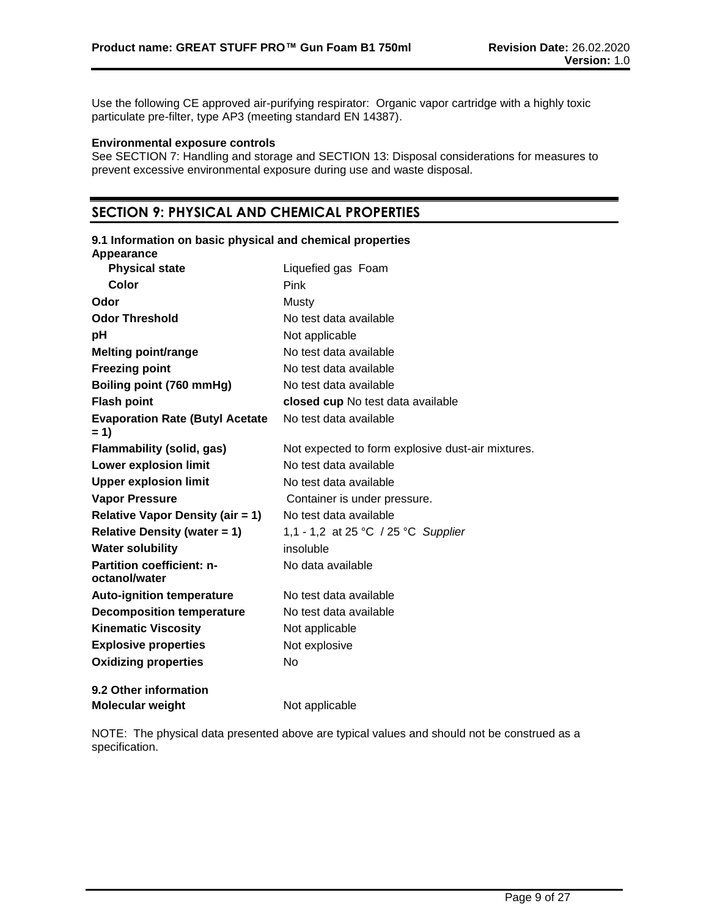Use the following CE approved air-purifying respirator: Organic vapor cartridge with a highly toxic particulate pre-filter, type AP3 (meeting standard EN 14387).

# **Environmental exposure controls**

See SECTION 7: Handling and storage and SECTION 13: Disposal considerations for measures to prevent excessive environmental exposure during use and waste disposal.

# **SECTION 9: PHYSICAL AND CHEMICAL PROPERTIES**

| 9.1 Information on basic physical and chemical properties<br>Appearance |                                                   |
|-------------------------------------------------------------------------|---------------------------------------------------|
| <b>Physical state</b>                                                   | Liquefied gas Foam                                |
| Color                                                                   | Pink                                              |
| Odor                                                                    | Mustv                                             |
| <b>Odor Threshold</b>                                                   | No test data available                            |
| рH                                                                      | Not applicable                                    |
| <b>Melting point/range</b>                                              | No test data available                            |
| <b>Freezing point</b>                                                   | No test data available                            |
| Boiling point (760 mmHg)                                                | No test data available                            |
| <b>Flash point</b>                                                      | closed cup No test data available                 |
| <b>Evaporation Rate (Butyl Acetate</b><br>$= 1$                         | No test data available                            |
| Flammability (solid, gas)                                               | Not expected to form explosive dust-air mixtures. |
| <b>Lower explosion limit</b>                                            | No test data available                            |
| <b>Upper explosion limit</b>                                            | No test data available                            |
| <b>Vapor Pressure</b>                                                   | Container is under pressure.                      |
| <b>Relative Vapor Density (air = 1)</b>                                 | No test data available                            |
| <b>Relative Density (water = 1)</b>                                     | 1,1 - 1,2 at 25 °C / 25 °C Supplier               |
| <b>Water solubility</b>                                                 | insoluble                                         |
| <b>Partition coefficient: n-</b><br>octanol/water                       | No data available                                 |
| <b>Auto-ignition temperature</b>                                        | No test data available                            |
| <b>Decomposition temperature</b>                                        | No test data available                            |
| <b>Kinematic Viscosity</b>                                              | Not applicable                                    |
| <b>Explosive properties</b>                                             | Not explosive                                     |
| <b>Oxidizing properties</b>                                             | No                                                |
| 9.2 Other information                                                   |                                                   |
| <b>Molecular weight</b>                                                 | Not applicable                                    |

NOTE: The physical data presented above are typical values and should not be construed as a specification.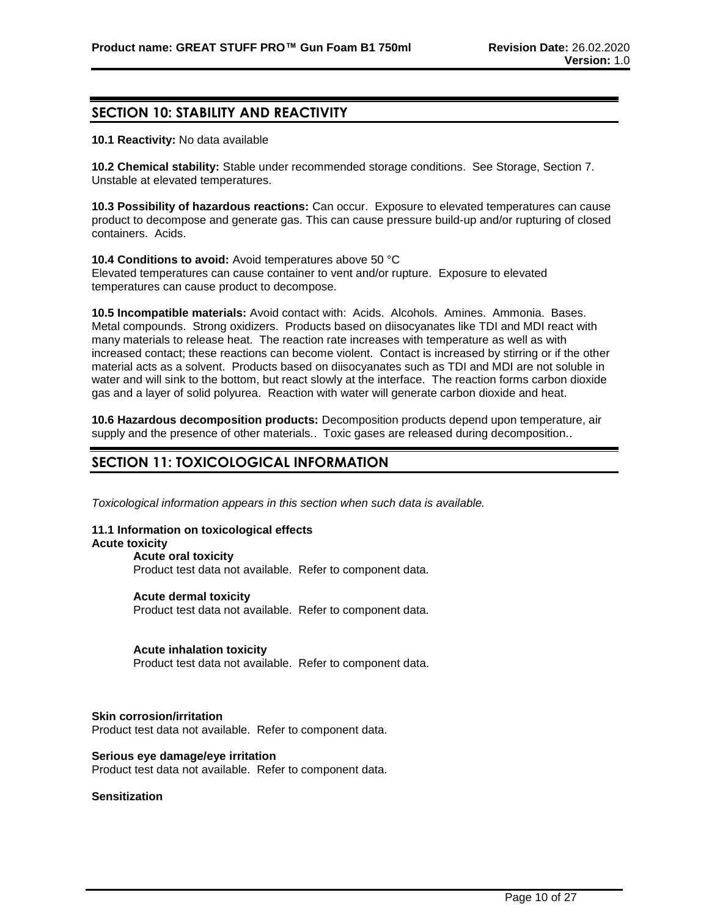# **SECTION 10: STABILITY AND REACTIVITY**

**10.1 Reactivity:** No data available

**10.2 Chemical stability:** Stable under recommended storage conditions. See Storage, Section 7. Unstable at elevated temperatures.

**10.3 Possibility of hazardous reactions:** Can occur. Exposure to elevated temperatures can cause product to decompose and generate gas. This can cause pressure build-up and/or rupturing of closed containers. Acids.

**10.4 Conditions to avoid:** Avoid temperatures above 50 °C Elevated temperatures can cause container to vent and/or rupture. Exposure to elevated temperatures can cause product to decompose.

**10.5 Incompatible materials:** Avoid contact with: Acids. Alcohols. Amines. Ammonia. Bases. Metal compounds. Strong oxidizers. Products based on diisocyanates like TDI and MDI react with many materials to release heat. The reaction rate increases with temperature as well as with increased contact; these reactions can become violent. Contact is increased by stirring or if the other material acts as a solvent. Products based on diisocyanates such as TDI and MDI are not soluble in water and will sink to the bottom, but react slowly at the interface. The reaction forms carbon dioxide gas and a layer of solid polyurea. Reaction with water will generate carbon dioxide and heat.

**10.6 Hazardous decomposition products:** Decomposition products depend upon temperature, air supply and the presence of other materials.. Toxic gases are released during decomposition..

# **SECTION 11: TOXICOLOGICAL INFORMATION**

*Toxicological information appears in this section when such data is available.*

# **11.1 Information on toxicological effects**

## **Acute toxicity**

**Acute oral toxicity** Product test data not available. Refer to component data.

**Acute dermal toxicity**

Product test data not available. Refer to component data.

# **Acute inhalation toxicity**

Product test data not available. Refer to component data.

#### **Skin corrosion/irritation**

Product test data not available. Refer to component data.

**Serious eye damage/eye irritation** Product test data not available. Refer to component data.

#### **Sensitization**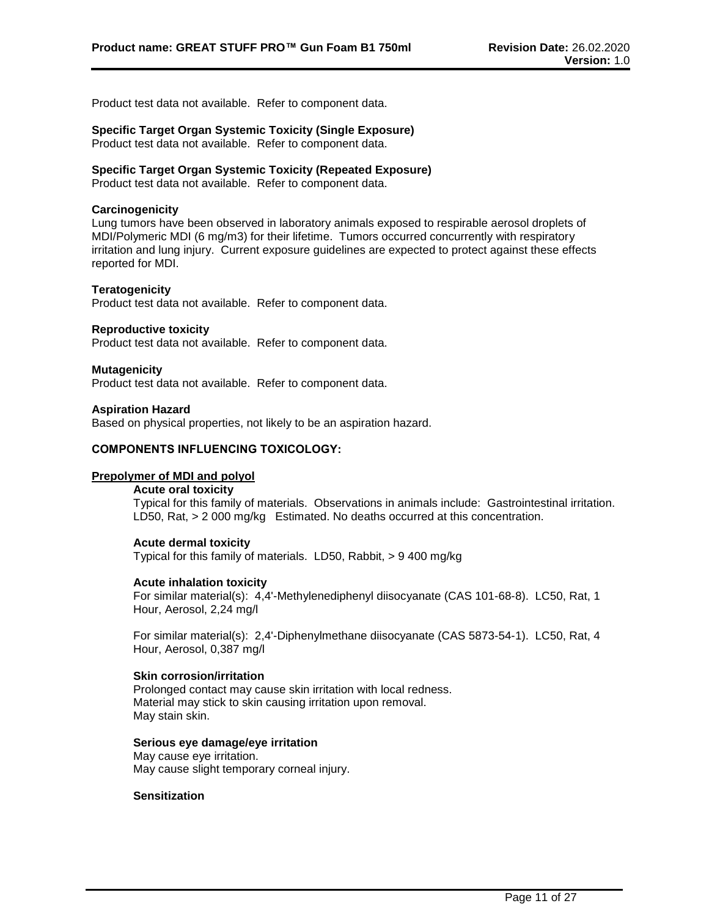Product test data not available. Refer to component data.

## **Specific Target Organ Systemic Toxicity (Single Exposure)**

Product test data not available. Refer to component data.

# **Specific Target Organ Systemic Toxicity (Repeated Exposure)**

Product test data not available. Refer to component data.

#### **Carcinogenicity**

Lung tumors have been observed in laboratory animals exposed to respirable aerosol droplets of MDI/Polymeric MDI (6 mg/m3) for their lifetime. Tumors occurred concurrently with respiratory irritation and lung injury. Current exposure guidelines are expected to protect against these effects reported for MDI.

#### **Teratogenicity**

Product test data not available. Refer to component data.

#### **Reproductive toxicity**

Product test data not available. Refer to component data.

#### **Mutagenicity**

Product test data not available. Refer to component data.

#### **Aspiration Hazard**

Based on physical properties, not likely to be an aspiration hazard.

#### **COMPONENTS INFLUENCING TOXICOLOGY:**

# **Prepolymer of MDI and polyol**

# **Acute oral toxicity**

Typical for this family of materials. Observations in animals include: Gastrointestinal irritation. LD50, Rat, > 2 000 mg/kg Estimated. No deaths occurred at this concentration.

#### **Acute dermal toxicity**

Typical for this family of materials. LD50, Rabbit, > 9 400 mg/kg

#### **Acute inhalation toxicity**

For similar material(s): 4,4'-Methylenediphenyl diisocyanate (CAS 101-68-8). LC50, Rat, 1 Hour, Aerosol, 2,24 mg/l

For similar material(s): 2,4'-Diphenylmethane diisocyanate (CAS 5873-54-1). LC50, Rat, 4 Hour, Aerosol, 0,387 mg/l

#### **Skin corrosion/irritation**

Prolonged contact may cause skin irritation with local redness. Material may stick to skin causing irritation upon removal. May stain skin.

#### **Serious eye damage/eye irritation**

May cause eye irritation. May cause slight temporary corneal injury.

# **Sensitization**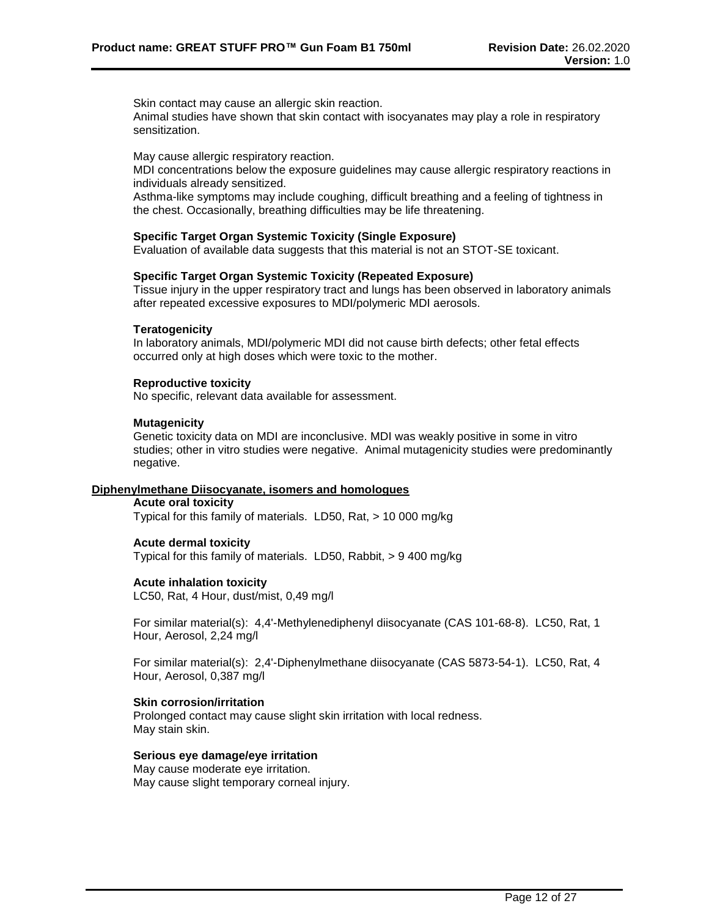Skin contact may cause an allergic skin reaction.

Animal studies have shown that skin contact with isocyanates may play a role in respiratory sensitization.

May cause allergic respiratory reaction.

MDI concentrations below the exposure guidelines may cause allergic respiratory reactions in individuals already sensitized.

Asthma-like symptoms may include coughing, difficult breathing and a feeling of tightness in the chest. Occasionally, breathing difficulties may be life threatening.

### **Specific Target Organ Systemic Toxicity (Single Exposure)**

Evaluation of available data suggests that this material is not an STOT-SE toxicant.

#### **Specific Target Organ Systemic Toxicity (Repeated Exposure)**

Tissue injury in the upper respiratory tract and lungs has been observed in laboratory animals after repeated excessive exposures to MDI/polymeric MDI aerosols.

#### **Teratogenicity**

In laboratory animals, MDI/polymeric MDI did not cause birth defects; other fetal effects occurred only at high doses which were toxic to the mother.

#### **Reproductive toxicity**

No specific, relevant data available for assessment.

#### **Mutagenicity**

Genetic toxicity data on MDI are inconclusive. MDI was weakly positive in some in vitro studies; other in vitro studies were negative. Animal mutagenicity studies were predominantly negative.

#### **Diphenylmethane Diisocyanate, isomers and homologues**

#### **Acute oral toxicity**

Typical for this family of materials. LD50, Rat, > 10 000 mg/kg

# **Acute dermal toxicity**

Typical for this family of materials. LD50, Rabbit, > 9 400 mg/kg

#### **Acute inhalation toxicity**

LC50, Rat, 4 Hour, dust/mist, 0,49 mg/l

For similar material(s): 4,4'-Methylenediphenyl diisocyanate (CAS 101-68-8). LC50, Rat, 1 Hour, Aerosol, 2,24 mg/l

For similar material(s): 2,4'-Diphenylmethane diisocyanate (CAS 5873-54-1). LC50, Rat, 4 Hour, Aerosol, 0,387 mg/l

#### **Skin corrosion/irritation**

Prolonged contact may cause slight skin irritation with local redness. May stain skin.

#### **Serious eye damage/eye irritation**

May cause moderate eye irritation. May cause slight temporary corneal injury.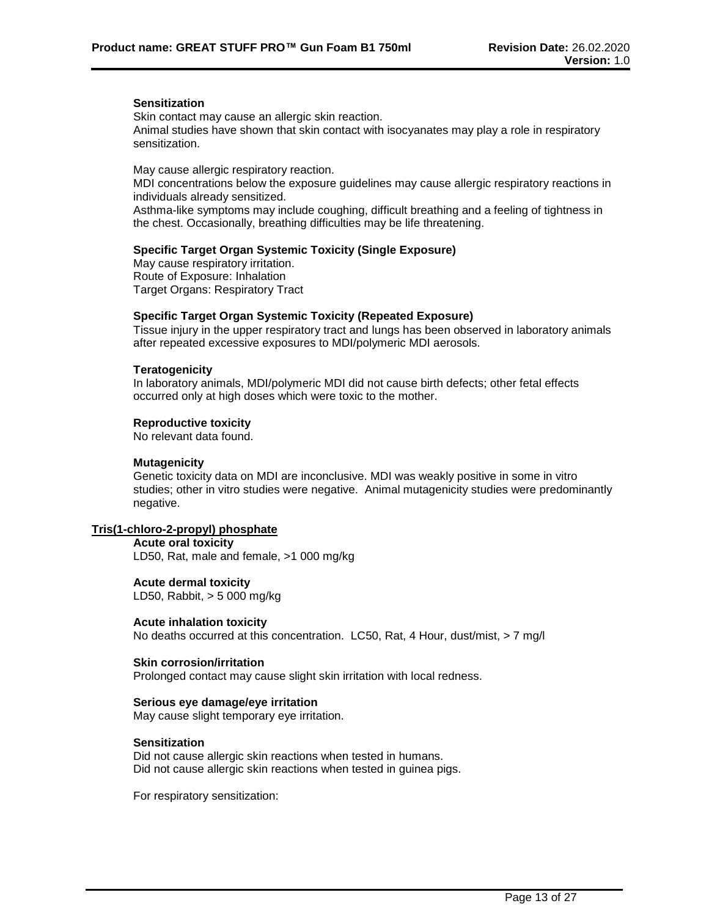#### **Sensitization**

Skin contact may cause an allergic skin reaction. Animal studies have shown that skin contact with isocyanates may play a role in respiratory sensitization.

May cause allergic respiratory reaction.

MDI concentrations below the exposure guidelines may cause allergic respiratory reactions in individuals already sensitized.

Asthma-like symptoms may include coughing, difficult breathing and a feeling of tightness in the chest. Occasionally, breathing difficulties may be life threatening.

#### **Specific Target Organ Systemic Toxicity (Single Exposure)**

May cause respiratory irritation. Route of Exposure: Inhalation Target Organs: Respiratory Tract

#### **Specific Target Organ Systemic Toxicity (Repeated Exposure)**

Tissue injury in the upper respiratory tract and lungs has been observed in laboratory animals after repeated excessive exposures to MDI/polymeric MDI aerosols.

#### **Teratogenicity**

In laboratory animals, MDI/polymeric MDI did not cause birth defects; other fetal effects occurred only at high doses which were toxic to the mother.

# **Reproductive toxicity**

No relevant data found.

#### **Mutagenicity**

Genetic toxicity data on MDI are inconclusive. MDI was weakly positive in some in vitro studies; other in vitro studies were negative. Animal mutagenicity studies were predominantly negative.

## **Tris(1-chloro-2-propyl) phosphate**

**Acute oral toxicity** LD50, Rat, male and female, >1 000 mg/kg

**Acute dermal toxicity** LD50, Rabbit, > 5 000 mg/kg

#### **Acute inhalation toxicity**

No deaths occurred at this concentration. LC50, Rat, 4 Hour, dust/mist, > 7 mg/l

#### **Skin corrosion/irritation**

Prolonged contact may cause slight skin irritation with local redness.

#### **Serious eye damage/eye irritation**

May cause slight temporary eye irritation.

#### **Sensitization**

Did not cause allergic skin reactions when tested in humans. Did not cause allergic skin reactions when tested in guinea pigs.

For respiratory sensitization: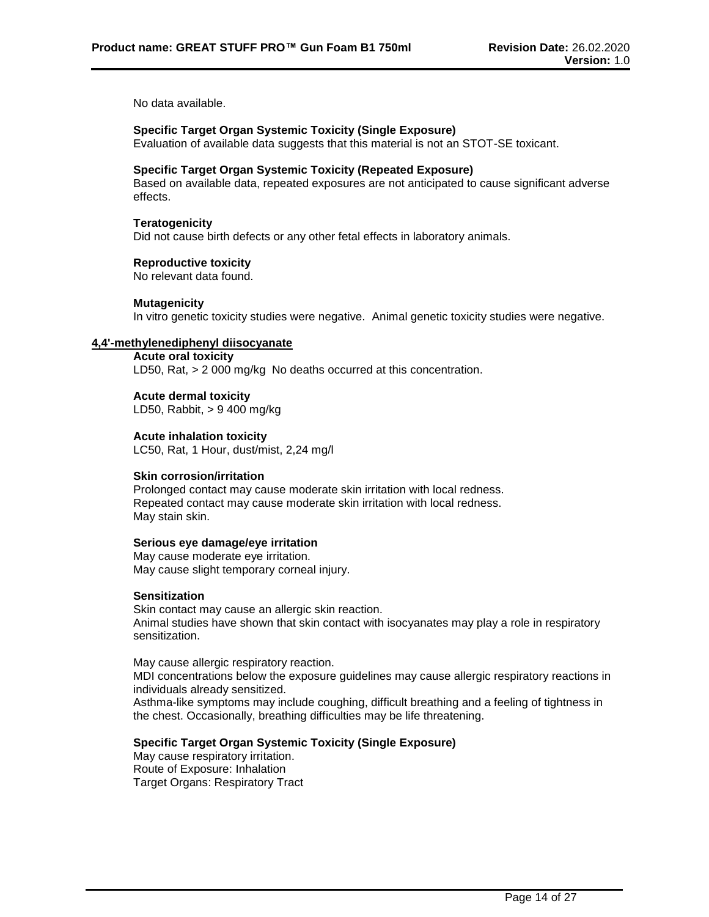No data available.

## **Specific Target Organ Systemic Toxicity (Single Exposure)**

Evaluation of available data suggests that this material is not an STOT-SE toxicant.

#### **Specific Target Organ Systemic Toxicity (Repeated Exposure)**

Based on available data, repeated exposures are not anticipated to cause significant adverse effects.

#### **Teratogenicity**

Did not cause birth defects or any other fetal effects in laboratory animals.

#### **Reproductive toxicity**

No relevant data found.

#### **Mutagenicity**

In vitro genetic toxicity studies were negative. Animal genetic toxicity studies were negative.

### **4,4'-methylenediphenyl diisocyanate**

**Acute oral toxicity** LD50, Rat, > 2 000 mg/kg No deaths occurred at this concentration.

**Acute dermal toxicity** LD50, Rabbit, > 9 400 mg/kg

**Acute inhalation toxicity** LC50, Rat, 1 Hour, dust/mist, 2,24 mg/l

#### **Skin corrosion/irritation**

Prolonged contact may cause moderate skin irritation with local redness. Repeated contact may cause moderate skin irritation with local redness. May stain skin.

## **Serious eye damage/eye irritation**

May cause moderate eye irritation. May cause slight temporary corneal injury.

#### **Sensitization**

Skin contact may cause an allergic skin reaction. Animal studies have shown that skin contact with isocyanates may play a role in respiratory sensitization.

May cause allergic respiratory reaction.

MDI concentrations below the exposure guidelines may cause allergic respiratory reactions in individuals already sensitized.

Asthma-like symptoms may include coughing, difficult breathing and a feeling of tightness in the chest. Occasionally, breathing difficulties may be life threatening.

# **Specific Target Organ Systemic Toxicity (Single Exposure)**

May cause respiratory irritation. Route of Exposure: Inhalation Target Organs: Respiratory Tract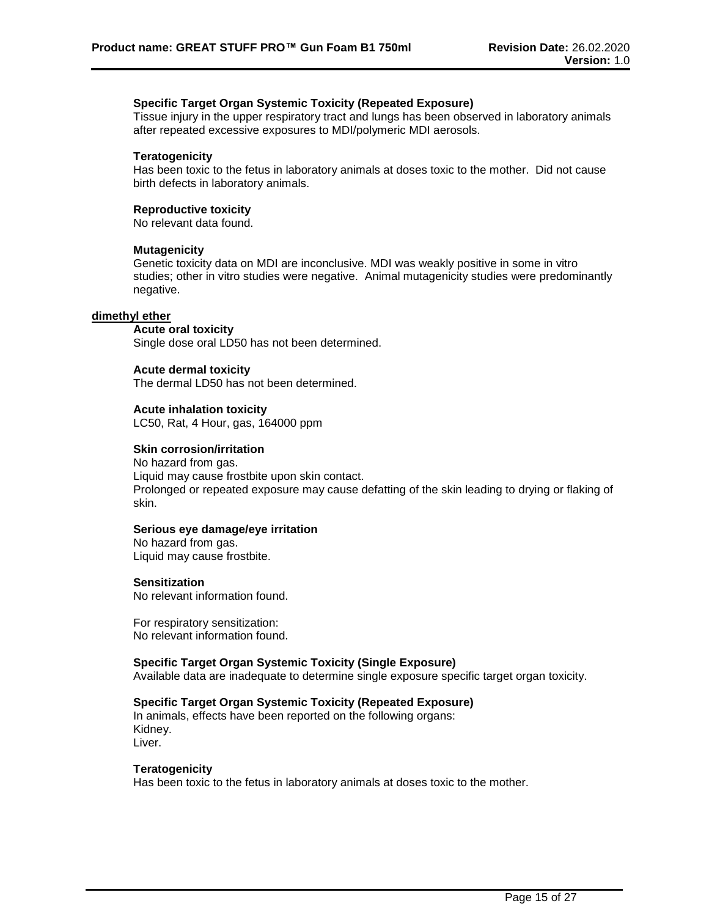# **Specific Target Organ Systemic Toxicity (Repeated Exposure)**

Tissue injury in the upper respiratory tract and lungs has been observed in laboratory animals after repeated excessive exposures to MDI/polymeric MDI aerosols.

#### **Teratogenicity**

Has been toxic to the fetus in laboratory animals at doses toxic to the mother. Did not cause birth defects in laboratory animals.

#### **Reproductive toxicity**

No relevant data found.

#### **Mutagenicity**

Genetic toxicity data on MDI are inconclusive. MDI was weakly positive in some in vitro studies; other in vitro studies were negative. Animal mutagenicity studies were predominantly negative.

#### **dimethyl ether**

### **Acute oral toxicity**

Single dose oral LD50 has not been determined.

### **Acute dermal toxicity**

The dermal LD50 has not been determined.

#### **Acute inhalation toxicity**

LC50, Rat, 4 Hour, gas, 164000 ppm

#### **Skin corrosion/irritation**

No hazard from gas. Liquid may cause frostbite upon skin contact. Prolonged or repeated exposure may cause defatting of the skin leading to drying or flaking of skin.

## **Serious eye damage/eye irritation**

No hazard from gas. Liquid may cause frostbite.

#### **Sensitization**

No relevant information found.

For respiratory sensitization: No relevant information found.

#### **Specific Target Organ Systemic Toxicity (Single Exposure)**

Available data are inadequate to determine single exposure specific target organ toxicity.

# **Specific Target Organ Systemic Toxicity (Repeated Exposure)**

In animals, effects have been reported on the following organs: Kidney. Liver.

### **Teratogenicity**

Has been toxic to the fetus in laboratory animals at doses toxic to the mother.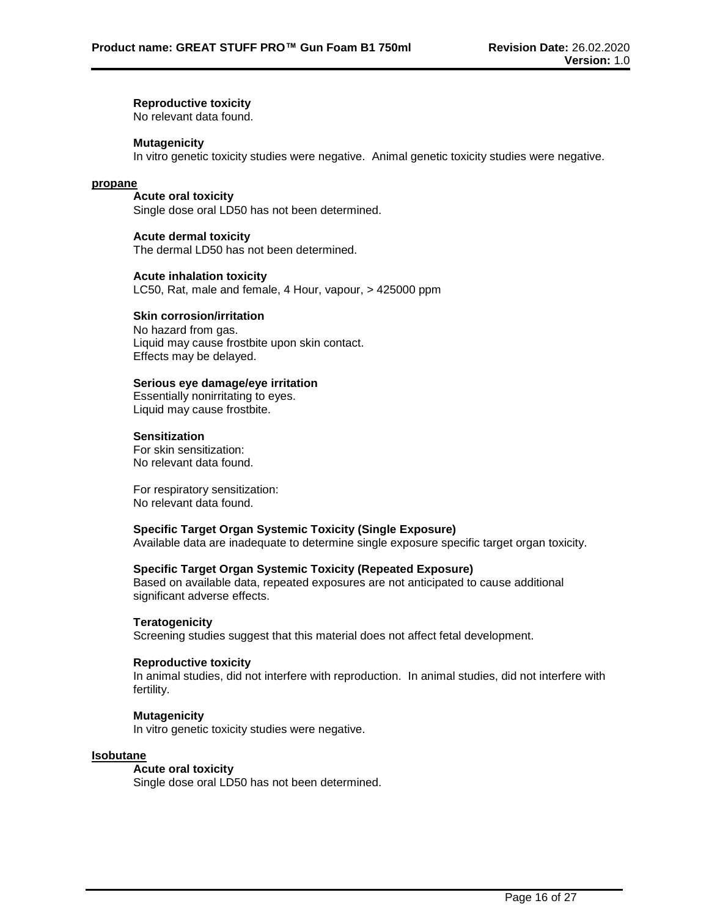### **Reproductive toxicity**

No relevant data found.

#### **Mutagenicity**

In vitro genetic toxicity studies were negative. Animal genetic toxicity studies were negative.

#### **propane**

**Acute oral toxicity** Single dose oral LD50 has not been determined.

#### **Acute dermal toxicity**

The dermal LD50 has not been determined.

#### **Acute inhalation toxicity**

LC50, Rat, male and female, 4 Hour, vapour, > 425000 ppm

# **Skin corrosion/irritation**

No hazard from gas. Liquid may cause frostbite upon skin contact. Effects may be delayed.

#### **Serious eye damage/eye irritation**

Essentially nonirritating to eyes. Liquid may cause frostbite.

## **Sensitization**

For skin sensitization: No relevant data found.

For respiratory sensitization: No relevant data found.

## **Specific Target Organ Systemic Toxicity (Single Exposure)**

Available data are inadequate to determine single exposure specific target organ toxicity.

# **Specific Target Organ Systemic Toxicity (Repeated Exposure)**

Based on available data, repeated exposures are not anticipated to cause additional significant adverse effects.

#### **Teratogenicity**

Screening studies suggest that this material does not affect fetal development.

#### **Reproductive toxicity**

In animal studies, did not interfere with reproduction. In animal studies, did not interfere with fertility.

#### **Mutagenicity**

In vitro genetic toxicity studies were negative.

#### **Isobutane**

### **Acute oral toxicity**

Single dose oral LD50 has not been determined.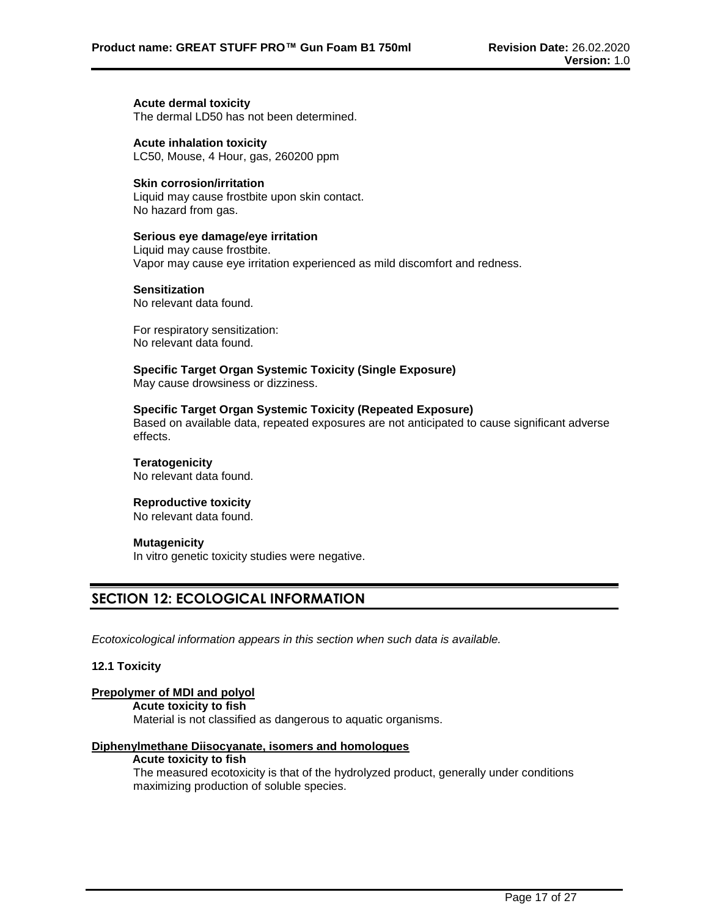#### **Acute dermal toxicity**

The dermal LD50 has not been determined.

**Acute inhalation toxicity** LC50, Mouse, 4 Hour, gas, 260200 ppm

### **Skin corrosion/irritation**

Liquid may cause frostbite upon skin contact. No hazard from gas.

### **Serious eye damage/eye irritation**

Liquid may cause frostbite. Vapor may cause eye irritation experienced as mild discomfort and redness.

#### **Sensitization**

No relevant data found.

For respiratory sensitization: No relevant data found.

**Specific Target Organ Systemic Toxicity (Single Exposure)** May cause drowsiness or dizziness.

#### **Specific Target Organ Systemic Toxicity (Repeated Exposure)**

Based on available data, repeated exposures are not anticipated to cause significant adverse effects.

**Teratogenicity** No relevant data found.

#### **Reproductive toxicity**

No relevant data found.

#### **Mutagenicity**

In vitro genetic toxicity studies were negative.

# **SECTION 12: ECOLOGICAL INFORMATION**

*Ecotoxicological information appears in this section when such data is available.*

#### **12.1 Toxicity**

# **Prepolymer of MDI and polyol**

**Acute toxicity to fish**

Material is not classified as dangerous to aquatic organisms.

# **Diphenylmethane Diisocyanate, isomers and homologues**

## **Acute toxicity to fish**

The measured ecotoxicity is that of the hydrolyzed product, generally under conditions maximizing production of soluble species.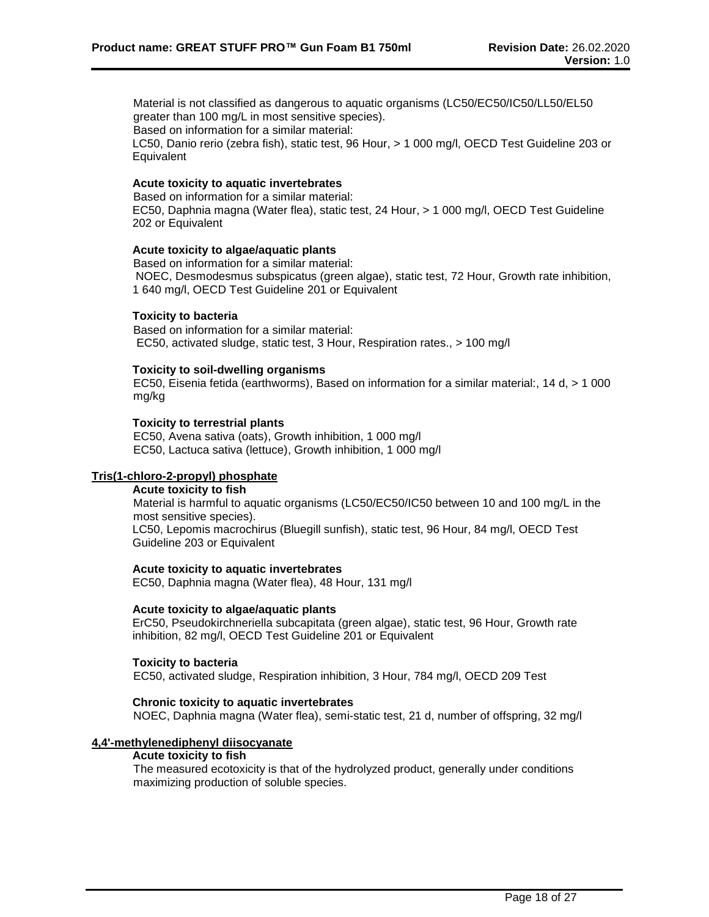Material is not classified as dangerous to aquatic organisms (LC50/EC50/IC50/LL50/EL50 greater than 100 mg/L in most sensitive species).

Based on information for a similar material:

LC50, Danio rerio (zebra fish), static test, 96 Hour, > 1 000 mg/l, OECD Test Guideline 203 or **Equivalent** 

# **Acute toxicity to aquatic invertebrates**

Based on information for a similar material: EC50, Daphnia magna (Water flea), static test, 24 Hour, > 1 000 mg/l, OECD Test Guideline 202 or Equivalent

#### **Acute toxicity to algae/aquatic plants**

Based on information for a similar material: NOEC, Desmodesmus subspicatus (green algae), static test, 72 Hour, Growth rate inhibition, 1 640 mg/l, OECD Test Guideline 201 or Equivalent

#### **Toxicity to bacteria**

Based on information for a similar material: EC50, activated sludge, static test, 3 Hour, Respiration rates., > 100 mg/l

#### **Toxicity to soil-dwelling organisms**

EC50, Eisenia fetida (earthworms), Based on information for a similar material:, 14 d, > 1 000 mg/kg

#### **Toxicity to terrestrial plants**

EC50, Avena sativa (oats), Growth inhibition, 1 000 mg/l EC50, Lactuca sativa (lettuce), Growth inhibition, 1 000 mg/l

# **Tris(1-chloro-2-propyl) phosphate**

# **Acute toxicity to fish**

Material is harmful to aquatic organisms (LC50/EC50/IC50 between 10 and 100 mg/L in the most sensitive species).

LC50, Lepomis macrochirus (Bluegill sunfish), static test, 96 Hour, 84 mg/l, OECD Test Guideline 203 or Equivalent

#### **Acute toxicity to aquatic invertebrates**

EC50, Daphnia magna (Water flea), 48 Hour, 131 mg/l

#### **Acute toxicity to algae/aquatic plants**

ErC50, Pseudokirchneriella subcapitata (green algae), static test, 96 Hour, Growth rate inhibition, 82 mg/l, OECD Test Guideline 201 or Equivalent

#### **Toxicity to bacteria**

EC50, activated sludge, Respiration inhibition, 3 Hour, 784 mg/l, OECD 209 Test

#### **Chronic toxicity to aquatic invertebrates**

NOEC, Daphnia magna (Water flea), semi-static test, 21 d, number of offspring, 32 mg/l

# **4,4'-methylenediphenyl diisocyanate**

#### **Acute toxicity to fish**

The measured ecotoxicity is that of the hydrolyzed product, generally under conditions maximizing production of soluble species.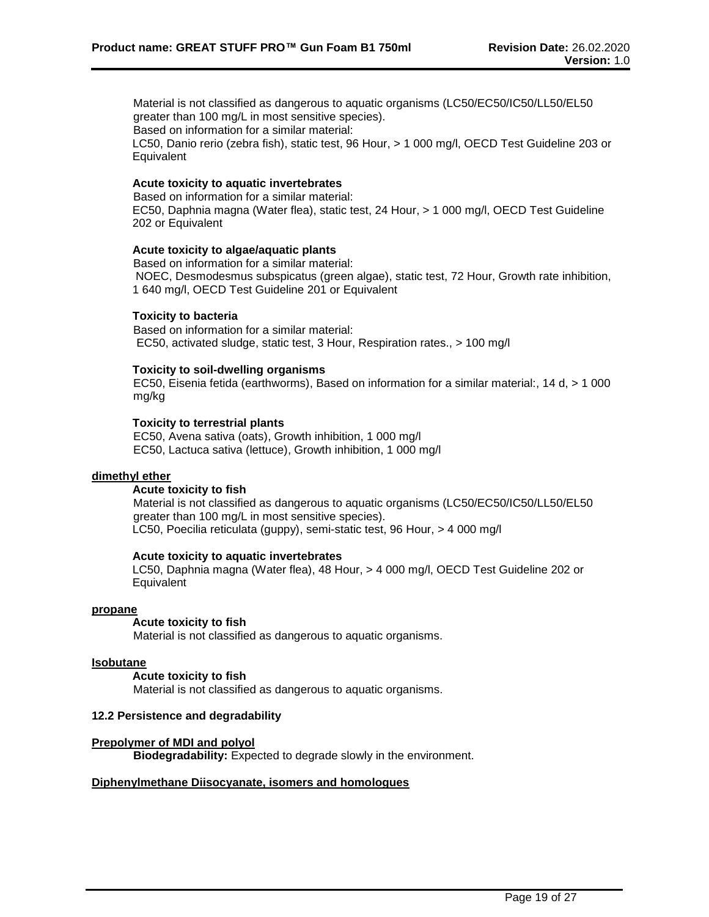Material is not classified as dangerous to aquatic organisms (LC50/EC50/IC50/LL50/EL50 greater than 100 mg/L in most sensitive species).

Based on information for a similar material:

LC50, Danio rerio (zebra fish), static test, 96 Hour, > 1 000 mg/l, OECD Test Guideline 203 or **Equivalent** 

### **Acute toxicity to aquatic invertebrates**

Based on information for a similar material: EC50, Daphnia magna (Water flea), static test, 24 Hour, > 1 000 mg/l, OECD Test Guideline 202 or Equivalent

#### **Acute toxicity to algae/aquatic plants**

Based on information for a similar material: NOEC, Desmodesmus subspicatus (green algae), static test, 72 Hour, Growth rate inhibition, 1 640 mg/l, OECD Test Guideline 201 or Equivalent

#### **Toxicity to bacteria**

Based on information for a similar material: EC50, activated sludge, static test, 3 Hour, Respiration rates., > 100 mg/l

#### **Toxicity to soil-dwelling organisms**

EC50, Eisenia fetida (earthworms), Based on information for a similar material:, 14 d, > 1 000 mg/kg

#### **Toxicity to terrestrial plants**

EC50, Avena sativa (oats), Growth inhibition, 1 000 mg/l EC50, Lactuca sativa (lettuce), Growth inhibition, 1 000 mg/l

#### **dimethyl ether**

#### **Acute toxicity to fish**

Material is not classified as dangerous to aquatic organisms (LC50/EC50/IC50/LL50/EL50 greater than 100 mg/L in most sensitive species). LC50, Poecilia reticulata (guppy), semi-static test, 96 Hour, > 4 000 mg/l

#### **Acute toxicity to aquatic invertebrates**

LC50, Daphnia magna (Water flea), 48 Hour, > 4 000 mg/l, OECD Test Guideline 202 or **Equivalent** 

#### **propane**

#### **Acute toxicity to fish**

Material is not classified as dangerous to aquatic organisms.

#### **Isobutane**

#### **Acute toxicity to fish**

Material is not classified as dangerous to aquatic organisms.

# **12.2 Persistence and degradability**

#### **Prepolymer of MDI and polyol**

**Biodegradability:** Expected to degrade slowly in the environment.

### **Diphenylmethane Diisocyanate, isomers and homologues**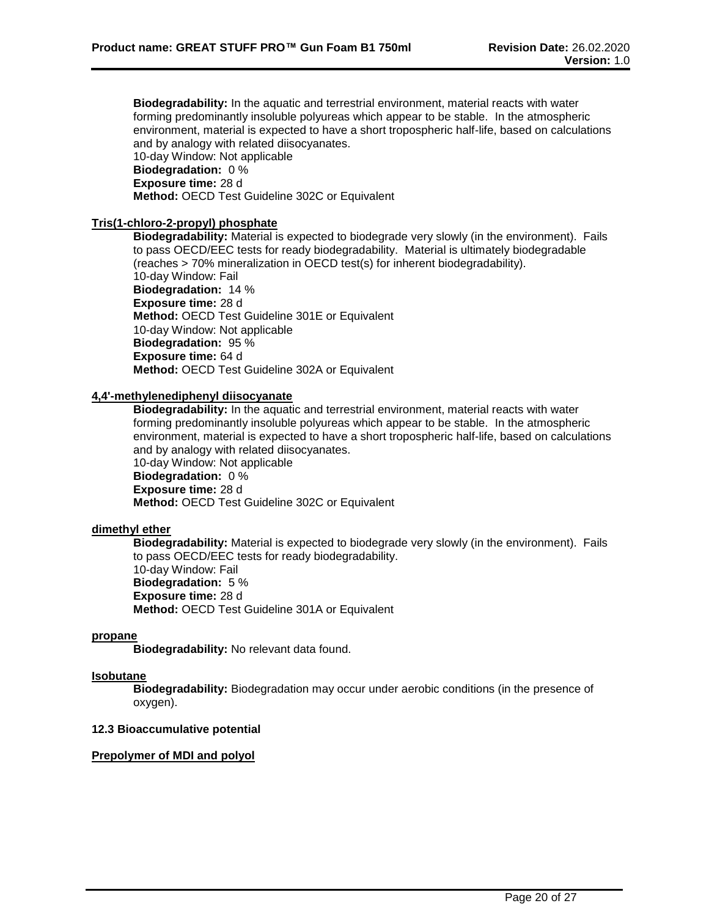**Biodegradability:** In the aquatic and terrestrial environment, material reacts with water forming predominantly insoluble polyureas which appear to be stable. In the atmospheric environment, material is expected to have a short tropospheric half-life, based on calculations and by analogy with related diisocyanates. 10-day Window: Not applicable **Biodegradation:** 0 % **Exposure time:** 28 d

**Method:** OECD Test Guideline 302C or Equivalent

# **Tris(1-chloro-2-propyl) phosphate**

**Biodegradability:** Material is expected to biodegrade very slowly (in the environment). Fails to pass OECD/EEC tests for ready biodegradability. Material is ultimately biodegradable (reaches > 70% mineralization in OECD test(s) for inherent biodegradability). 10-day Window: Fail **Biodegradation:** 14 % **Exposure time:** 28 d **Method:** OECD Test Guideline 301E or Equivalent 10-day Window: Not applicable **Biodegradation:** 95 % **Exposure time:** 64 d **Method:** OECD Test Guideline 302A or Equivalent

# **4,4'-methylenediphenyl diisocyanate**

**Biodegradability:** In the aquatic and terrestrial environment, material reacts with water forming predominantly insoluble polyureas which appear to be stable. In the atmospheric environment, material is expected to have a short tropospheric half-life, based on calculations and by analogy with related diisocyanates.

10-day Window: Not applicable **Biodegradation:** 0 % **Exposure time:** 28 d **Method:** OECD Test Guideline 302C or Equivalent

# **dimethyl ether**

**Biodegradability:** Material is expected to biodegrade very slowly (in the environment). Fails to pass OECD/EEC tests for ready biodegradability. 10-day Window: Fail **Biodegradation:** 5 %

**Exposure time:** 28 d

**Method:** OECD Test Guideline 301A or Equivalent

# **propane**

**Biodegradability:** No relevant data found.

#### **Isobutane**

**Biodegradability:** Biodegradation may occur under aerobic conditions (in the presence of oxygen).

# **12.3 Bioaccumulative potential**

#### **Prepolymer of MDI and polyol**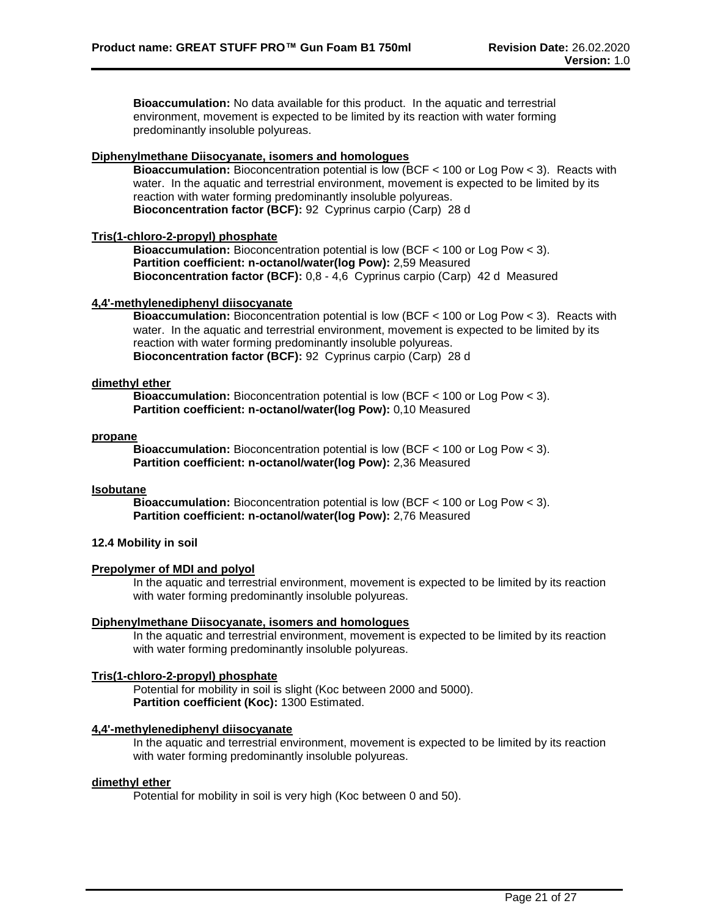**Bioaccumulation:** No data available for this product. In the aquatic and terrestrial environment, movement is expected to be limited by its reaction with water forming predominantly insoluble polyureas.

## **Diphenylmethane Diisocyanate, isomers and homologues**

**Bioaccumulation:** Bioconcentration potential is low (BCF < 100 or Log Pow < 3). Reacts with water. In the aquatic and terrestrial environment, movement is expected to be limited by its reaction with water forming predominantly insoluble polyureas. **Bioconcentration factor (BCF):** 92 Cyprinus carpio (Carp) 28 d

### **Tris(1-chloro-2-propyl) phosphate**

**Bioaccumulation:** Bioconcentration potential is low (BCF < 100 or Log Pow < 3). **Partition coefficient: n-octanol/water(log Pow):** 2,59 Measured **Bioconcentration factor (BCF):** 0,8 - 4,6 Cyprinus carpio (Carp) 42 d Measured

### **4,4'-methylenediphenyl diisocyanate**

**Bioaccumulation:** Bioconcentration potential is low (BCF < 100 or Log Pow < 3). Reacts with water. In the aquatic and terrestrial environment, movement is expected to be limited by its reaction with water forming predominantly insoluble polyureas. **Bioconcentration factor (BCF):** 92 Cyprinus carpio (Carp) 28 d

#### **dimethyl ether**

**Bioaccumulation:** Bioconcentration potential is low (BCF < 100 or Log Pow < 3). **Partition coefficient: n-octanol/water(log Pow):** 0,10 Measured

#### **propane**

**Bioaccumulation:** Bioconcentration potential is low (BCF < 100 or Log Pow < 3). **Partition coefficient: n-octanol/water(log Pow):** 2,36 Measured

# **Isobutane**

**Bioaccumulation:** Bioconcentration potential is low (BCF < 100 or Log Pow < 3). **Partition coefficient: n-octanol/water(log Pow):** 2,76 Measured

# **12.4 Mobility in soil**

# **Prepolymer of MDI and polyol**

In the aquatic and terrestrial environment, movement is expected to be limited by its reaction with water forming predominantly insoluble polyureas.

#### **Diphenylmethane Diisocyanate, isomers and homologues**

In the aquatic and terrestrial environment, movement is expected to be limited by its reaction with water forming predominantly insoluble polyureas.

# **Tris(1-chloro-2-propyl) phosphate**

Potential for mobility in soil is slight (Koc between 2000 and 5000). **Partition coefficient (Koc):** 1300 Estimated.

# **4,4'-methylenediphenyl diisocyanate**

In the aquatic and terrestrial environment, movement is expected to be limited by its reaction with water forming predominantly insoluble polyureas.

### **dimethyl ether**

Potential for mobility in soil is very high (Koc between 0 and 50).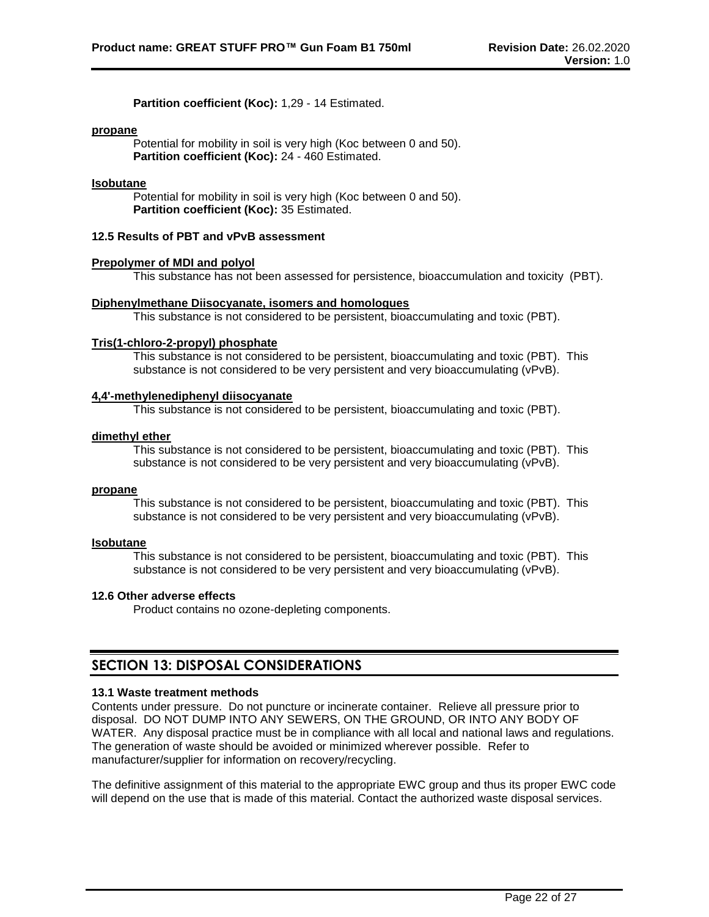**Partition coefficient (Koc):** 1,29 - 14 Estimated.

#### **propane**

Potential for mobility in soil is very high (Koc between 0 and 50). **Partition coefficient (Koc):** 24 - 460 Estimated.

### **Isobutane**

Potential for mobility in soil is very high (Koc between 0 and 50). **Partition coefficient (Koc):** 35 Estimated.

# **12.5 Results of PBT and vPvB assessment**

#### **Prepolymer of MDI and polyol**

This substance has not been assessed for persistence, bioaccumulation and toxicity (PBT).

#### **Diphenylmethane Diisocyanate, isomers and homologues**

This substance is not considered to be persistent, bioaccumulating and toxic (PBT).

#### **Tris(1-chloro-2-propyl) phosphate**

This substance is not considered to be persistent, bioaccumulating and toxic (PBT). This substance is not considered to be very persistent and very bioaccumulating (vPvB).

#### **4,4'-methylenediphenyl diisocyanate**

This substance is not considered to be persistent, bioaccumulating and toxic (PBT).

#### **dimethyl ether**

This substance is not considered to be persistent, bioaccumulating and toxic (PBT). This substance is not considered to be very persistent and very bioaccumulating (vPvB).

#### **propane**

This substance is not considered to be persistent, bioaccumulating and toxic (PBT). This substance is not considered to be very persistent and very bioaccumulating (vPvB).

#### **Isobutane**

This substance is not considered to be persistent, bioaccumulating and toxic (PBT). This substance is not considered to be very persistent and very bioaccumulating (vPvB).

#### **12.6 Other adverse effects**

Product contains no ozone-depleting components.

# **SECTION 13: DISPOSAL CONSIDERATIONS**

#### **13.1 Waste treatment methods**

Contents under pressure. Do not puncture or incinerate container. Relieve all pressure prior to disposal. DO NOT DUMP INTO ANY SEWERS, ON THE GROUND, OR INTO ANY BODY OF WATER. Any disposal practice must be in compliance with all local and national laws and regulations. The generation of waste should be avoided or minimized wherever possible. Refer to manufacturer/supplier for information on recovery/recycling.

The definitive assignment of this material to the appropriate EWC group and thus its proper EWC code will depend on the use that is made of this material. Contact the authorized waste disposal services.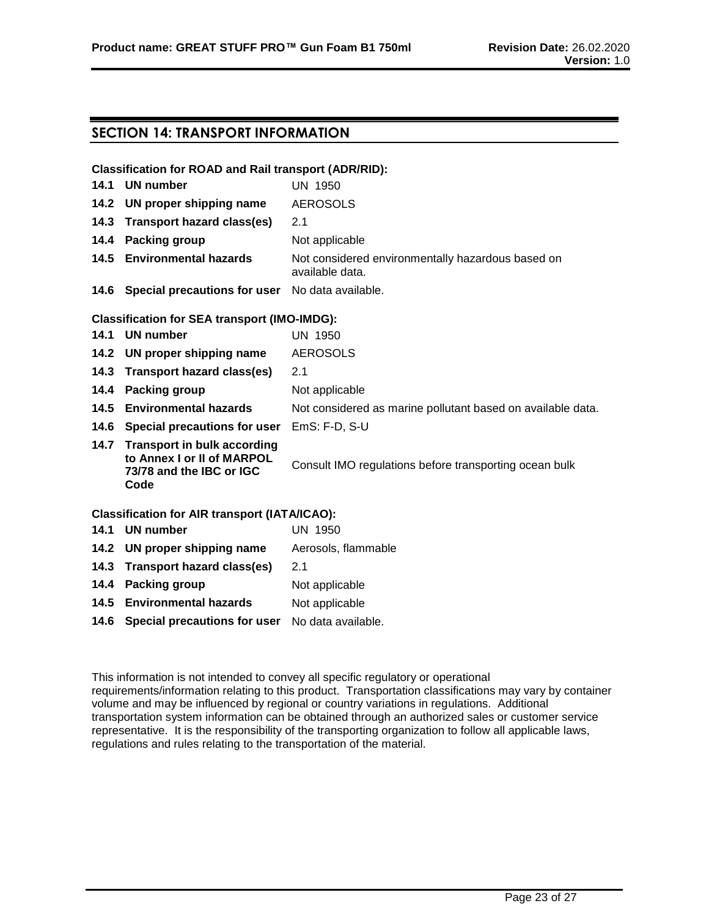# **SECTION 14: TRANSPORT INFORMATION**

# **Classification for ROAD and Rail transport (ADR/RID):**

| UN 1950                                                                                                                               |
|---------------------------------------------------------------------------------------------------------------------------------------|
| <b>AEROSOLS</b>                                                                                                                       |
| 2.1                                                                                                                                   |
| Not applicable                                                                                                                        |
| Not considered environmentally hazardous based on<br>available data.                                                                  |
| 14.1 UN number<br>14.2 UN proper shipping name<br>14.3 Transport hazard class(es)<br>14.4 Packing group<br>14.5 Environmental hazards |

**14.6 Special precautions for user** No data available.

# **Classification for SEA transport (IMO-IMDG):**

|      | 14.1 UN number                                                                                     | UN 1950                                                     |
|------|----------------------------------------------------------------------------------------------------|-------------------------------------------------------------|
|      | 14.2 UN proper shipping name                                                                       | <b>AEROSOLS</b>                                             |
|      | 14.3 Transport hazard class(es)                                                                    | 2.1                                                         |
|      | 14.4 Packing group                                                                                 | Not applicable                                              |
|      | 14.5 Environmental hazards                                                                         | Not considered as marine pollutant based on available data. |
| 14.6 | Special precautions for user                                                                       | $EmS: F-D, S-U$                                             |
|      | 14.7 Transport in bulk according<br>to Annex I or II of MARPOL<br>73/78 and the IBC or IGC<br>Code | Consult IMO regulations before transporting ocean bulk      |
|      | C <sub>local</sub>                                                                                 |                                                             |

# **Classification for AIR transport (IATA/ICAO):**

| 14.1 UN number                                       | UN 1950             |
|------------------------------------------------------|---------------------|
| 14.2 UN proper shipping name                         | Aerosols, flammable |
| 14.3 Transport hazard class(es)                      | 2.1                 |
| 14.4 Packing group                                   | Not applicable      |
| 14.5 Environmental hazards                           | Not applicable      |
| 14.6 Special precautions for user No data available. |                     |

This information is not intended to convey all specific regulatory or operational requirements/information relating to this product. Transportation classifications may vary by container volume and may be influenced by regional or country variations in regulations. Additional transportation system information can be obtained through an authorized sales or customer service representative. It is the responsibility of the transporting organization to follow all applicable laws, regulations and rules relating to the transportation of the material.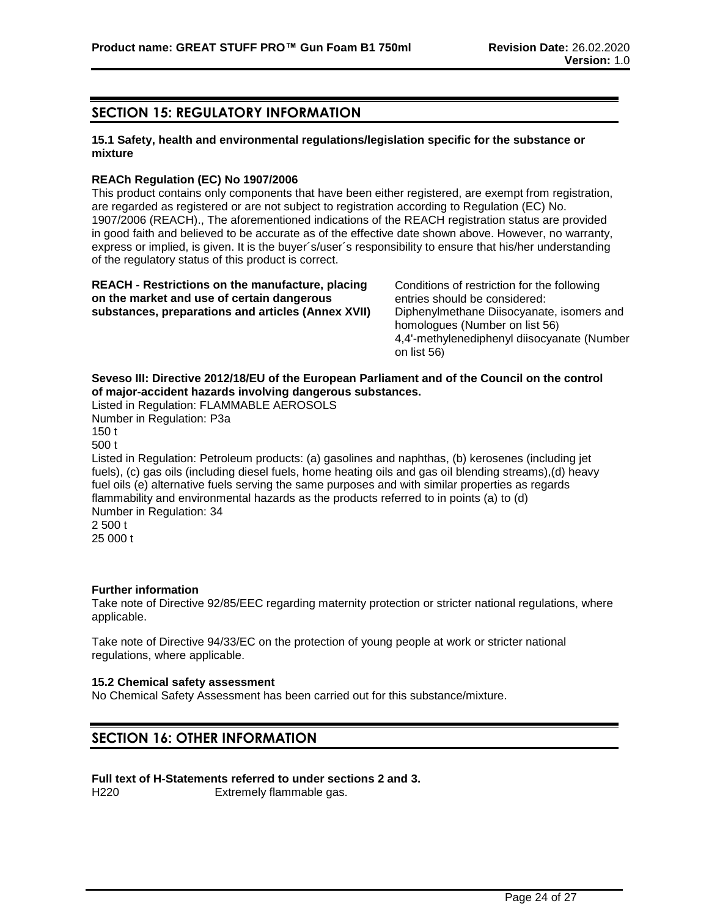# **SECTION 15: REGULATORY INFORMATION**

# **15.1 Safety, health and environmental regulations/legislation specific for the substance or mixture**

#### **REACh Regulation (EC) No 1907/2006**

This product contains only components that have been either registered, are exempt from registration, are regarded as registered or are not subject to registration according to Regulation (EC) No. 1907/2006 (REACH)., The aforementioned indications of the REACH registration status are provided in good faith and believed to be accurate as of the effective date shown above. However, no warranty, express or implied, is given. It is the buyer´s/user´s responsibility to ensure that his/her understanding of the regulatory status of this product is correct.

| <b>REACH</b> - Restrictions on the manufacture, placing |  |
|---------------------------------------------------------|--|
| on the market and use of certain dangerous              |  |
| substances, preparations and articles (Annex XVII)      |  |

Conditions of restriction for the following entries should be considered: Diphenylmethane Diisocyanate, isomers and homologues (Number on list 56) 4,4'-methylenediphenyl diisocyanate (Number on list 56)

# **Seveso III: Directive 2012/18/EU of the European Parliament and of the Council on the control of major-accident hazards involving dangerous substances.**

Listed in Regulation: FLAMMABLE AEROSOLS Number in Regulation: P3a 150 t 500 t

Listed in Regulation: Petroleum products: (a) gasolines and naphthas, (b) kerosenes (including jet fuels), (c) gas oils (including diesel fuels, home heating oils and gas oil blending streams),(d) heavy fuel oils (e) alternative fuels serving the same purposes and with similar properties as regards flammability and environmental hazards as the products referred to in points (a) to (d) Number in Regulation: 34 2 500 t

25 000 t

# **Further information**

Take note of Directive 92/85/EEC regarding maternity protection or stricter national regulations, where applicable.

Take note of Directive 94/33/EC on the protection of young people at work or stricter national regulations, where applicable.

#### **15.2 Chemical safety assessment**

No Chemical Safety Assessment has been carried out for this substance/mixture.

# **SECTION 16: OTHER INFORMATION**

#### **Full text of H-Statements referred to under sections 2 and 3.**

H220 Extremely flammable gas.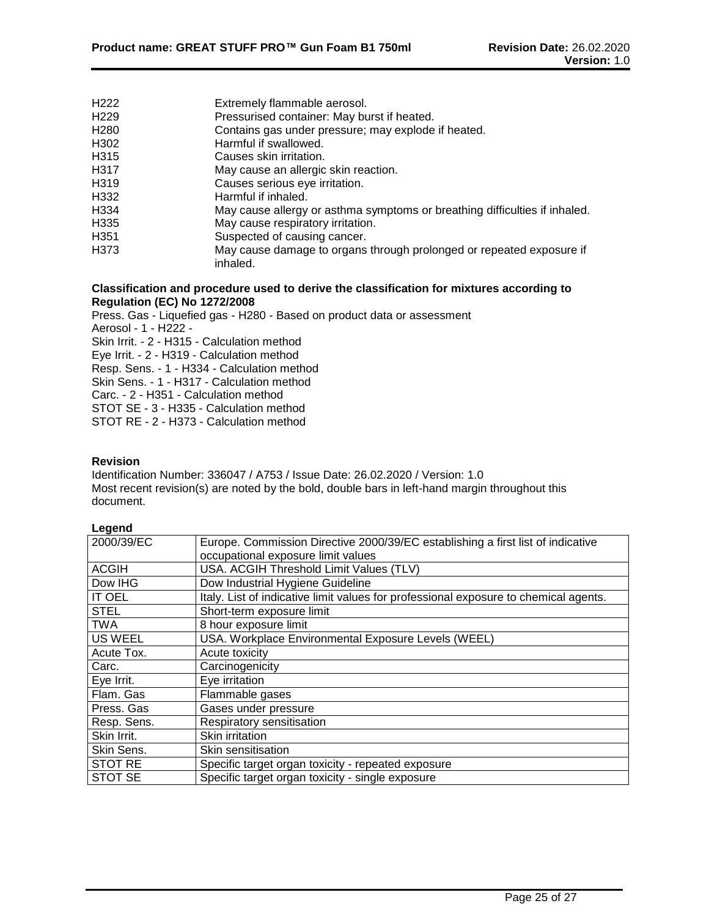| H <sub>222</sub>  | Extremely flammable aerosol.                                                     |
|-------------------|----------------------------------------------------------------------------------|
| H <sub>229</sub>  | Pressurised container: May burst if heated.                                      |
| H <sub>280</sub>  | Contains gas under pressure; may explode if heated.                              |
| H302              | Harmful if swallowed.                                                            |
| H315              | Causes skin irritation.                                                          |
| H <sub>3</sub> 17 | May cause an allergic skin reaction.                                             |
| H319              | Causes serious eye irritation.                                                   |
| H332              | Harmful if inhaled.                                                              |
| H334              | May cause allergy or asthma symptoms or breathing difficulties if inhaled.       |
| H335              | May cause respiratory irritation.                                                |
| H <sub>351</sub>  | Suspected of causing cancer.                                                     |
| H373              | May cause damage to organs through prolonged or repeated exposure if<br>inhaled. |

### **Classification and procedure used to derive the classification for mixtures according to Regulation (EC) No 1272/2008**

Press. Gas - Liquefied gas - H280 - Based on product data or assessment Aerosol - 1 - H222 - Skin Irrit. - 2 - H315 - Calculation method Eye Irrit. - 2 - H319 - Calculation method Resp. Sens. - 1 - H334 - Calculation method Skin Sens. - 1 - H317 - Calculation method Carc. - 2 - H351 - Calculation method STOT SE - 3 - H335 - Calculation method STOT RE - 2 - H373 - Calculation method

# **Revision**

Identification Number: 336047 / A753 / Issue Date: 26.02.2020 / Version: 1.0 Most recent revision(s) are noted by the bold, double bars in left-hand margin throughout this document.

## **Legend**

| 2000/39/EC     | Europe. Commission Directive 2000/39/EC establishing a first list of indicative      |
|----------------|--------------------------------------------------------------------------------------|
|                | occupational exposure limit values                                                   |
| <b>ACGIH</b>   | USA. ACGIH Threshold Limit Values (TLV)                                              |
| Dow IHG        | Dow Industrial Hygiene Guideline                                                     |
| <b>IT OEL</b>  | Italy. List of indicative limit values for professional exposure to chemical agents. |
| <b>STEL</b>    | Short-term exposure limit                                                            |
| <b>TWA</b>     | 8 hour exposure limit                                                                |
| <b>US WEEL</b> | USA. Workplace Environmental Exposure Levels (WEEL)                                  |
| Acute Tox.     | Acute toxicity                                                                       |
| Carc.          | Carcinogenicity                                                                      |
| Eye Irrit.     | Eye irritation                                                                       |
| Flam. Gas      | Flammable gases                                                                      |
| Press. Gas     | Gases under pressure                                                                 |
| Resp. Sens.    | Respiratory sensitisation                                                            |
| Skin Irrit.    | Skin irritation                                                                      |
| Skin Sens.     | Skin sensitisation                                                                   |
| <b>STOT RE</b> | Specific target organ toxicity - repeated exposure                                   |
| <b>STOT SE</b> | Specific target organ toxicity - single exposure                                     |